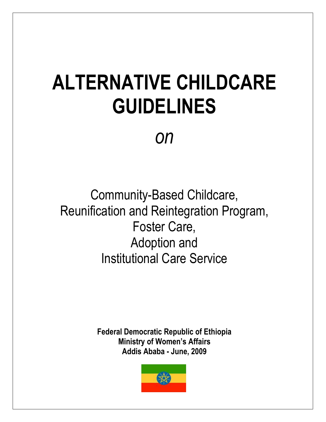# **ALTERNATIVE CHILDCARE GUIDELINES**

*on*

Community-Based Childcare, Reunification and Reintegration Program, Foster Care, Adoption and Institutional Care Service

> **Federal Democratic Republic of Ethiopia Ministry of Women's Affairs Addis Ababa - June, 2009**

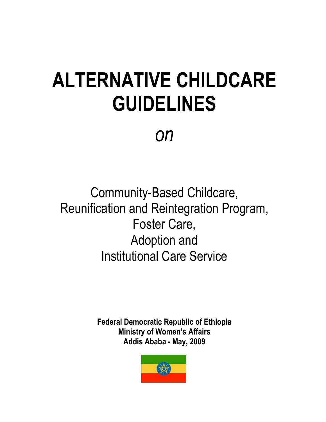# **ALTERNATIVE CHILDCARE GUIDELINES**

*on*

Community-Based Childcare, Reunification and Reintegration Program, Foster Care, Adoption and Institutional Care Service

> **Federal Democratic Republic of Ethiopia Ministry of Women's Affairs Addis Ababa - May, 2009**

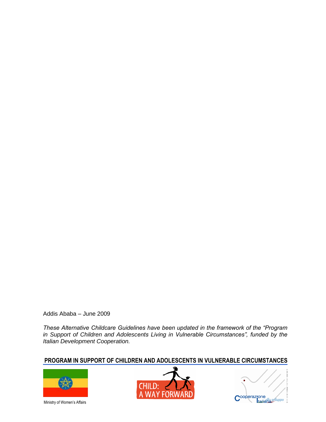Addis Ababa – June 2009

*These Alternative Childcare Guidelines have been updated in the framework of the "Program in Support of Children and Adolescents Living in Vulnerable Circumstances", funded by the Italian Development Cooperation.* 

## **PROGRAM IN SUPPORT OF CHILDREN AND ADOLESCENTS IN VULNERABLE CIRCUMSTANCES**



Ministry of Women's Affairs



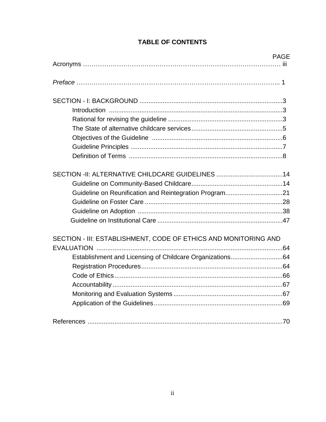|                                                                 | <b>PAGE</b> |
|-----------------------------------------------------------------|-------------|
|                                                                 |             |
|                                                                 |             |
|                                                                 |             |
|                                                                 |             |
|                                                                 |             |
|                                                                 |             |
|                                                                 |             |
|                                                                 |             |
|                                                                 |             |
| SECTION -II: ALTERNATIVE CHILDCARE GUIDELINES 14                |             |
|                                                                 |             |
| Guideline on Reunification and Reintegration Program21          |             |
|                                                                 |             |
|                                                                 |             |
|                                                                 |             |
| SECTION - III: ESTABLISHMENT, CODE OF ETHICS AND MONITORING AND |             |
|                                                                 |             |
| Establishment and Licensing of Childcare Organizations64        |             |
|                                                                 |             |
|                                                                 |             |
|                                                                 |             |
|                                                                 |             |
|                                                                 |             |
|                                                                 |             |

# **TABLE OF CONTENTS**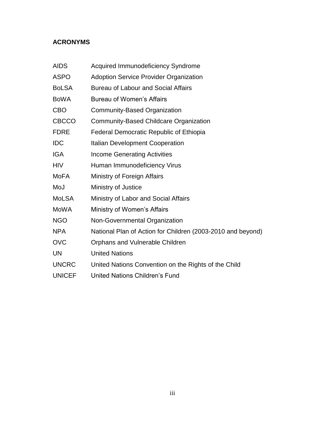## **ACRONYMS**

| <b>AIDS</b>   | <b>Acquired Immunodeficiency Syndrome</b>                   |
|---------------|-------------------------------------------------------------|
| <b>ASPO</b>   | <b>Adoption Service Provider Organization</b>               |
| <b>BoLSA</b>  | <b>Bureau of Labour and Social Affairs</b>                  |
| <b>BoWA</b>   | <b>Bureau of Women's Affairs</b>                            |
| <b>CBO</b>    | Community-Based Organization                                |
| <b>CBCCO</b>  | <b>Community-Based Childcare Organization</b>               |
| <b>FDRE</b>   | <b>Federal Democratic Republic of Ethiopia</b>              |
| <b>IDC</b>    | <b>Italian Development Cooperation</b>                      |
| IGA           | <b>Income Generating Activities</b>                         |
| <b>HIV</b>    | Human Immunodeficiency Virus                                |
| MoFA          | Ministry of Foreign Affairs                                 |
| MoJ           | Ministry of Justice                                         |
| <b>MoLSA</b>  | Ministry of Labor and Social Affairs                        |
| <b>MoWA</b>   | Ministry of Women's Affairs                                 |
| <b>NGO</b>    | Non-Governmental Organization                               |
| <b>NPA</b>    | National Plan of Action for Children (2003-2010 and beyond) |
| <b>OVC</b>    | Orphans and Vulnerable Children                             |
| <b>UN</b>     | <b>United Nations</b>                                       |
| <b>UNCRC</b>  | United Nations Convention on the Rights of the Child        |
| <b>UNICEF</b> | United Nations Children's Fund                              |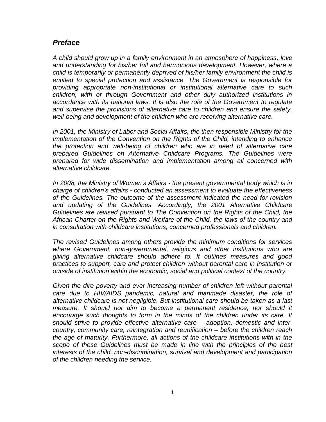## *Preface*

*A child should grow up in a family environment in an atmosphere of happiness, love*  and understanding for his/her full and harmonious development. However, where a *child is temporarily or permanently deprived of his/her family environment the child is entitled to special protection and assistance. The Government is responsible for providing appropriate non-institutional or institutional alternative care to such children, with or through Government and other duly authorized institutions in accordance with its national laws. It is also the role of the Government to regulate and supervise the provisions of alternative care to children and ensure the safety, well-being and development of the children who are receiving alternative care.* 

*In 2001, the Ministry of Labor and Social Affairs, the then responsible Ministry for the Implementation of the Convention on the Rights of the Child, intending to enhance the protection and well-being of children who are in need of alternative care prepared Guidelines on Alternative Childcare Programs. The Guidelines were prepared for wide dissemination and implementation among all concerned with alternative childcare.*

*In 2008, the Ministry of Women's Affairs - the present governmental body which is in charge of children's affairs - conducted an assessment to evaluate the effectiveness of the Guidelines. The outcome of the assessment indicated the need for revision and updating of the Guidelines. Accordingly, the 2001 Alternative Childcare Guidelines are revised pursuant to The Convention on the Rights of the Child, the African Charter on the Rights and Welfare of the Child, the laws of the country and in consultation with childcare institutions, concerned professionals and children.* 

*The revised Guidelines among others provide the minimum conditions for services where Government, non-governmental, religious and other institutions who are giving alternative childcare should adhere to. It outlines measures and good practices to support, care and protect children without parental care in institution or outside of institution within the economic, social and political context of the country.* 

Given the dire poverty and ever increasing number of children left without parental *care due to HIV/AIDS pandemic, natural and manmade disaster, the role of alternative childcare is not negligible. But institutional care should be taken as a last measure. It should not aim to become a permanent residence, nor should it encourage such thoughts to form in the minds of the children under its care. It should strive to provide effective alternative care – adoption, domestic and intercountry, community care, reintegration and reunification – before the children reach the age of maturity. Furthermore, all actions of the childcare institutions with in the scope of these Guidelines must be made in line with the principles of the best interests of the child, non-discrimination, survival and development and participation of the children needing the service.*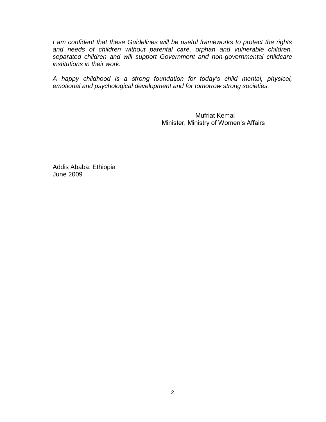*I am confident that these Guidelines will be useful frameworks to protect the rights and needs of children without parental care, orphan and vulnerable children, separated children and will support Government and non-governmental childcare institutions in their work.* 

*A happy childhood is a strong foundation for today's child mental, physical, emotional and psychological development and for tomorrow strong societies.*

> Mufriat Kemal Minister, Ministry of Women's Affairs

Addis Ababa, Ethiopia June 2009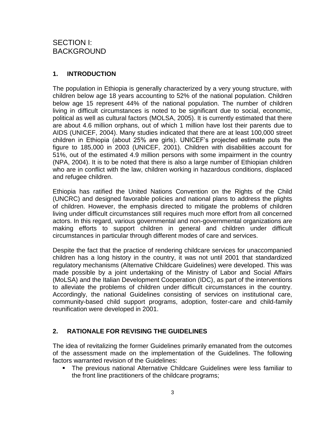## **1. INTRODUCTION**

The population in Ethiopia is generally characterized by a very young structure, with children below age 18 years accounting to 52% of the national population. Children below age 15 represent 44% of the national population. The number of children living in difficult circumstances is noted to be significant due to social, economic, political as well as cultural factors (MOLSA, 2005). It is currently estimated that there are about 4.6 million orphans, out of which 1 million have lost their parents due to AIDS (UNICEF, 2004). Many studies indicated that there are at least 100,000 street children in Ethiopia (about 25% are girls). UNICEF"s projected estimate puts the figure to 185,000 in 2003 (UNICEF, 2001). Children with disabilities account for 51%, out of the estimated 4.9 million persons with some impairment in the country (NPA, 2004). It is to be noted that there is also a large number of Ethiopian children who are in conflict with the law, children working in hazardous conditions, displaced and refugee children.

Ethiopia has ratified the United Nations Convention on the Rights of the Child (UNCRC) and designed favorable policies and national plans to address the plights of children. However, the emphasis directed to mitigate the problems of children living under difficult circumstances still requires much more effort from all concerned actors. In this regard, various governmental and non-governmental organizations are making efforts to support children in general and children under difficult circumstances in particular through different modes of care and services.

Despite the fact that the practice of rendering childcare services for unaccompanied children has a long history in the country, it was not until 2001 that standardized regulatory mechanisms (Alternative Childcare Guidelines) were developed. This was made possible by a joint undertaking of the Ministry of Labor and Social Affairs (MoLSA) and the Italian Development Cooperation (IDC), as part of the interventions to alleviate the problems of children under difficult circumstances in the country. Accordingly, the national Guidelines consisting of services on institutional care, community-based child support programs, adoption, foster-care and child-family reunification were developed in 2001.

## **2. RATIONALE FOR REVISING THE GUIDELINES**

The idea of revitalizing the former Guidelines primarily emanated from the outcomes of the assessment made on the implementation of the Guidelines. The following factors warranted revision of the Guidelines:

 The previous national Alternative Childcare Guidelines were less familiar to the front line practitioners of the childcare programs;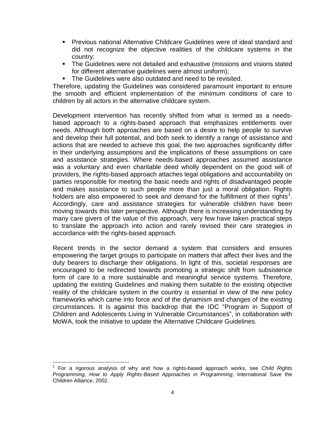- Previous national Alternative Childcare Guidelines were of ideal standard and did not recognize the objective realities of the childcare systems in the country;
- **The Guidelines were not detailed and exhaustive (missions and visions stated)** for different alternative guidelines were almost uniform);
- The Guidelines were also outdated and need to be revisited.

Therefore, updating the Guidelines was considered paramount important to ensure the smooth and efficient implementation of the minimum conditions of care to children by all actors in the alternative childcare system.

Development intervention has recently shifted from what is termed as a needsbased approach to a rights-based approach that emphasizes entitlements over needs. Although both approaches are based on a desire to help people to survive and develop their full potential, and both seek to identify a range of assistance and actions that are needed to achieve this goal, the two approaches significantly differ in their underlying assumptions and the implications of these assumptions on care and assistance strategies. Where needs-based approaches assumed assistance was a voluntary and even charitable deed wholly dependent on the good will of providers, the rights-based approach attaches legal obligations and accountability on parties responsible for meeting the basic needs and rights of disadvantaged people and makes assistance to such people more than just a moral obligation. Rights holders are also empowered to seek and demand for the fulfillment of their rights<sup>1</sup>. Accordingly, care and assistance strategies for vulnerable children have been moving towards this later perspective. Although there is increasing understanding by many care givers of the value of this approach, very few have taken practical steps to translate the approach into action and rarely revised their care strategies in accordance with the rights-based approach.

Recent trends in the sector demand a system that considers and ensures empowering the target groups to participate on matters that affect their lives and the duty bearers to discharge their obligations. In light of this, societal responses are encouraged to be redirected towards promoting a strategic shift from subsistence form of care to a more sustainable and meaningful service systems. Therefore, updating the existing Guidelines and making them suitable to the existing objective reality of the childcare system in the country is essential in view of the new policy frameworks which came into force and of the dynamism and changes of the existing circumstances. It is against this backdrop that the IDC "Program in Support of Children and Adolescents Living in Vulnerable Circumstances", in collaboration with MoWA, took the initiative to update the Alternative Childcare Guidelines.

 $\overline{a}$ 1 For a rigorous analysis of why and how a rights-based approach works, see *Child Rights Programming, How to Apply Rights-Based Approaches in Programming*, International Save the Children Alliance, 2002.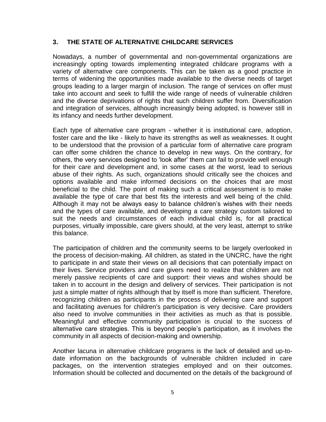## **3. THE STATE OF ALTERNATIVE CHILDCARE SERVICES**

Nowadays, a number of governmental and non-governmental organizations are increasingly opting towards implementing integrated childcare programs with a variety of alternative care components. This can be taken as a good practice in terms of widening the opportunities made available to the diverse needs of target groups leading to a larger margin of inclusion. The range of services on offer must take into account and seek to fulfill the wide range of needs of vulnerable children and the diverse deprivations of rights that such children suffer from. Diversification and integration of services, although increasingly being adopted, is however still in its infancy and needs further development.

Each type of alternative care program - whether it is institutional care, adoption, foster care and the like - likely to have its strengths as well as weaknesses. It ought to be understood that the provision of a particular form of alternative care program can offer some children the chance to develop in new ways. On the contrary, for others, the very services designed to "look after" them can fail to provide well enough for their care and development and, in some cases at the worst, lead to serious abuse of their rights. As such, organizations should critically see the choices and options available and make informed decisions on the choices that are most beneficial to the child. The point of making such a critical assessment is to make available the type of care that best fits the interests and well being of the child. Although it may not be always easy to balance children"s wishes with their needs and the types of care available, and developing a care strategy custom tailored to suit the needs and circumstances of each individual child is, for all practical purposes, virtually impossible, care givers should, at the very least, attempt to strike this balance.

The participation of children and the community seems to be largely overlooked in the process of decision-making. All children, as stated in the UNCRC, have the right to participate in and state their views on all decisions that can potentially impact on their lives. Service providers and care givers need to realize that children are not merely passive recipients of care and support: their views and wishes should be taken in to account in the design and delivery of services. Their participation is not just a simple matter of rights although that by itself is more than sufficient. Therefore, recognizing children as participants in the process of delivering care and support and facilitating avenues for children's participation is very decisive. Care providers also need to involve communities in their activities as much as that is possible. Meaningful and effective community participation is crucial to the success of alternative care strategies. This is beyond people"s participation, as it involves the community in all aspects of decision-making and ownership.

Another lacuna in alternative childcare programs is the lack of detailed and up-todate information on the backgrounds of vulnerable children included in care packages, on the intervention strategies employed and on their outcomes. Information should be collected and documented on the details of the background of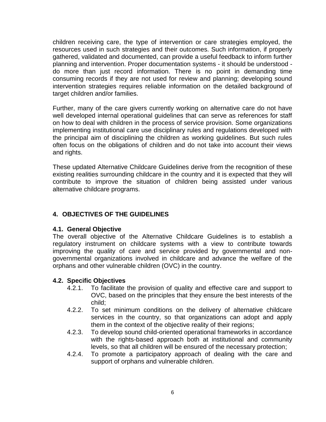children receiving care, the type of intervention or care strategies employed, the resources used in such strategies and their outcomes. Such information, if properly gathered, validated and documented, can provide a useful feedback to inform further planning and intervention. Proper documentation systems - it should be understood do more than just record information. There is no point in demanding time consuming records if they are not used for review and planning; developing sound intervention strategies requires reliable information on the detailed background of target children and/or families.

Further, many of the care givers currently working on alternative care do not have well developed internal operational guidelines that can serve as references for staff on how to deal with children in the process of service provision. Some organizations implementing institutional care use disciplinary rules and regulations developed with the principal aim of disciplining the children as working guidelines. But such rules often focus on the obligations of children and do not take into account their views and rights.

These updated Alternative Childcare Guidelines derive from the recognition of these existing realities surrounding childcare in the country and it is expected that they will contribute to improve the situation of children being assisted under various alternative childcare programs.

## **4. OBJECTIVES OF THE GUIDELINES**

## **4.1. General Objective**

The overall objective of the Alternative Childcare Guidelines is to establish a regulatory instrument on childcare systems with a view to contribute towards improving the quality of care and service provided by governmental and nongovernmental organizations involved in childcare and advance the welfare of the orphans and other vulnerable children (OVC) in the country.

## **4.2. Specific Objectives**

- 4.2.1. To facilitate the provision of quality and effective care and support to OVC, based on the principles that they ensure the best interests of the child;
- 4.2.2. To set minimum conditions on the delivery of alternative childcare services in the country, so that organizations can adopt and apply them in the context of the objective reality of their regions;
- 4.2.3. To develop sound child-oriented operational frameworks in accordance with the rights-based approach both at institutional and community levels, so that all children will be ensured of the necessary protection;
- 4.2.4. To promote a participatory approach of dealing with the care and support of orphans and vulnerable children.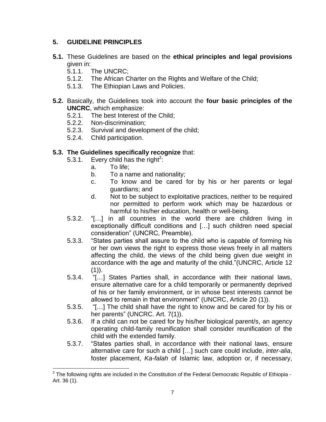## **5. GUIDELINE PRINCIPLES**

- **5.1.** These Guidelines are based on the **ethical principles and legal provisions** given in:
	- 5.1.1. The UNCRC;
	- 5.1.2. The African Charter on the Rights and Welfare of the Child;
	- 5.1.3. The Ethiopian Laws and Policies.
- **5.2.** Basically, the Guidelines took into account the **four basic principles of the UNCRC**, which emphasize:
	- 5.2.1. The best Interest of the Child;
	- 5.2.2. Non-discrimination;
	- 5.2.3. Survival and development of the child;
	- 5.2.4. Child participation.

## **5.3. The Guidelines specifically recognize** that:

- 5.3.1. Every child has the right<sup>2</sup>:
	- a. To life;
	- b. To a name and nationality;
	- c. To know and be cared for by his or her parents or legal guardians; and
	- d. Not to be subject to exploitative practices, neither to be required nor permitted to perform work which may be hazardous or harmful to his/her education, health or well-being.
- 5.3.2. "[…] in all countries in the world there are children living in exceptionally difficult conditions and […] such children need special consideration" (UNCRC, Preamble).
- 5.3.3. "States parties shall assure to the child who is capable of forming his or her own views the right to express those views freely in all matters affecting the child, the views of the child being given due weight in accordance with the age and maturity of the child."(UNCRC, Article 12  $(1)$ ).
- 5.3.4. "[…] States Parties shall, in accordance with their national laws, ensure alternative care for a child temporarily or permanently deprived of his or her family environment, or in whose best interests cannot be allowed to remain in that environment" (UNCRC, Article 20 (1)).
- 5.3.5. "[…] The child shall have the right to know and be cared for by his or her parents" (UNCRC. Art. 7(1)).
- 5.3.6. If a child can not be cared for by his/her biological parent/s, an agency operating child-family reunification shall consider reunification of the child with the extended family.
- 5.3.7. "States parties shall, in accordance with their national laws, ensure alternative care for such a child […] such care could include, *inter-alia*, foster placement, *Ka-falah* of Islamic law, adoption or, if necessary,

 $\overline{a}$  $^{2}$  The following rights are included in the Constitution of the Federal Democratic Republic of Ethiopia -Art. 36 (1).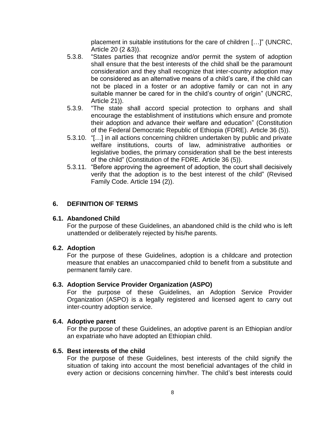placement in suitable institutions for the care of children […]" (UNCRC, Article 20 (2 &3)).

- 5.3.8. "States parties that recognize and/or permit the system of adoption shall ensure that the best interests of the child shall be the paramount consideration and they shall recognize that inter-country adoption may be considered as an alternative means of a child"s care, if the child can not be placed in a foster or an adoptive family or can not in any suitable manner be cared for in the child"s country of origin" (UNCRC, Article 21)).
- 5.3.9. "The state shall accord special protection to orphans and shall encourage the establishment of institutions which ensure and promote their adoption and advance their welfare and education" (Constitution of the Federal Democratic Republic of Ethiopia (FDRE). Article 36 (5)).
- 5.3.10. "[…] in all actions concerning children undertaken by public and private welfare institutions, courts of law, administrative authorities or legislative bodies, the primary consideration shall be the best interests of the child" (Constitution of the FDRE. Article 36 (5)).
- 5.3.11. "Before approving the agreement of adoption, the court shall decisively verify that the adoption is to the best interest of the child" (Revised Family Code. Article 194 (2)).

## **6. DEFINITION OF TERMS**

## **6.1. Abandoned Child**

For the purpose of these Guidelines, an abandoned child is the child who is left unattended or deliberately rejected by his/he parents.

#### **6.2. Adoption**

For the purpose of these Guidelines, adoption is a childcare and protection measure that enables an unaccompanied child to benefit from a substitute and permanent family care.

## **6.3. Adoption Service Provider Organization (ASPO)**

For the purpose of these Guidelines, an Adoption Service Provider Organization (ASPO) is a legally registered and licensed agent to carry out inter-country adoption service.

#### **6.4. Adoptive parent**

For the purpose of these Guidelines, an adoptive parent is an Ethiopian and/or an expatriate who have adopted an Ethiopian child.

#### **6.5. Best interests of the child**

For the purpose of these Guidelines, best interests of the child signify the situation of taking into account the most beneficial advantages of the child in every action or decisions concerning him/her. The child"s best interests could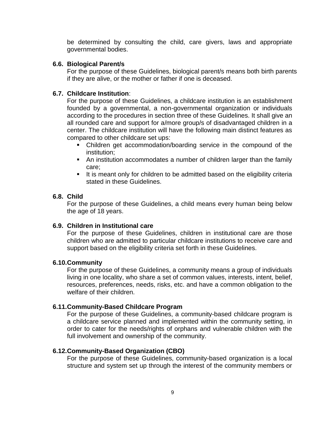be determined by consulting the child, care givers, laws and appropriate governmental bodies.

#### **6.6. Biological Parent/s**

For the purpose of these Guidelines, biological parent/s means both birth parents if they are alive, or the mother or father if one is deceased.

## **6.7. Childcare Institution**:

For the purpose of these Guidelines, a childcare institution is an establishment founded by a governmental, a non-governmental organization or individuals according to the procedures in section three of these Guidelines. It shall give an all rounded care and support for a/more group/s of disadvantaged children in a center. The childcare institution will have the following main distinct features as compared to other childcare set ups:

- Children get accommodation/boarding service in the compound of the institution;
- An institution accommodates a number of children larger than the family care;
- It is meant only for children to be admitted based on the eligibility criteria stated in these Guidelines.

## **6.8. Child**

For the purpose of these Guidelines, a child means every human being below the age of 18 years.

## **6.9. Children in Institutional care**

For the purpose of these Guidelines, children in institutional care are those children who are admitted to particular childcare institutions to receive care and support based on the eligibility criteria set forth in these Guidelines.

## **6.10.Community**

For the purpose of these Guidelines, a community means a group of individuals living in one locality, who share a set of common values, interests, intent, belief, resources, preferences, needs, risks, etc. and have a common obligation to the welfare of their children.

## **6.11.Community-Based Childcare Program**

For the purpose of these Guidelines, a community-based childcare program is a childcare service planned and implemented within the community setting, in order to cater for the needs/rights of orphans and vulnerable children with the full involvement and ownership of the community.

## **6.12.Community-Based Organization (CBO)**

For the purpose of these Guidelines, community-based organization is a local structure and system set up through the interest of the community members or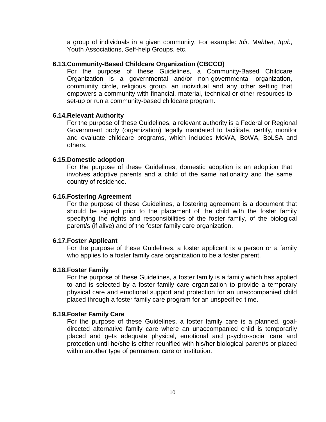a group of individuals in a given community. For example: *Idir*, M*ahber*, *Iqub*, Youth Associations, Self-help Groups, etc.

#### **6.13.Community-Based Childcare Organization (CBCCO)**

For the purpose of these Guidelines, a Community-Based Childcare Organization is a governmental and/or non-governmental organization, community circle, religious group, an individual and any other setting that empowers a community with financial, material, technical or other resources to set-up or run a community-based childcare program.

#### **6.14.Relevant Authority**

For the purpose of these Guidelines, a relevant authority is a Federal or Regional Government body (organization) legally mandated to facilitate, certify, monitor and evaluate childcare programs, which includes MoWA, BoWA, BoLSA and others.

#### **6.15.Domestic adoption**

For the purpose of these Guidelines, domestic adoption is an adoption that involves adoptive parents and a child of the same nationality and the same country of residence.

#### **6.16.Fostering Agreement**

For the purpose of these Guidelines, a fostering agreement is a document that should be signed prior to the placement of the child with the foster family specifying the rights and responsibilities of the foster family, of the biological parent/s (if alive) and of the foster family care organization.

#### **6.17.Foster Applicant**

For the purpose of these Guidelines, a foster applicant is a person or a family who applies to a foster family care organization to be a foster parent.

## **6.18.Foster Family**

For the purpose of these Guidelines, a foster family is a family which has applied to and is selected by a foster family care organization to provide a temporary physical care and emotional support and protection for an unaccompanied child placed through a foster family care program for an unspecified time.

## **6.19.Foster Family Care**

For the purpose of these Guidelines, a foster family care is a planned, goaldirected alternative family care where an unaccompanied child is temporarily placed and gets adequate physical, emotional and psycho-social care and protection until he/she is either reunified with his/her biological parent/s or placed within another type of permanent care or institution.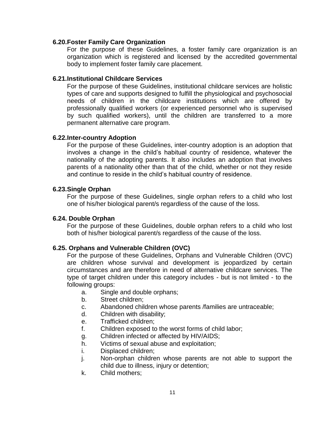#### **6.20.Foster Family Care Organization**

For the purpose of these Guidelines, a foster family care organization is an organization which is registered and licensed by the accredited governmental body to implement foster family care placement.

#### **6.21.Institutional Childcare Services**

For the purpose of these Guidelines, institutional childcare services are holistic types of care and supports designed to fulfill the physiological and psychosocial needs of children in the childcare institutions which are offered by professionally qualified workers (or experienced personnel who is supervised by such qualified workers), until the children are transferred to a more permanent alternative care program.

#### **6.22.Inter-country Adoption**

For the purpose of these Guidelines, inter-country adoption is an adoption that involves a change in the child"s habitual country of residence, whatever the nationality of the adopting parents. It also includes an adoption that involves parents of a nationality other than that of the child, whether or not they reside and continue to reside in the child"s habitual country of residence.

#### **6.23.Single Orphan**

For the purpose of these Guidelines, single orphan refers to a child who lost one of his/her biological parent/s regardless of the cause of the loss.

## **6.24. Double Orphan**

For the purpose of these Guidelines, double orphan refers to a child who lost both of his/her biological parent/s regardless of the cause of the loss.

## **6.25. Orphans and Vulnerable Children (OVC)**

For the purpose of these Guidelines, Orphans and Vulnerable Children (OVC) are children whose survival and development is jeopardized by certain circumstances and are therefore in need of alternative childcare services. The type of target children under this category includes - but is not limited - to the following groups:

- a. Single and double orphans;
- b. Street children;
- c. Abandoned children whose parents /families are untraceable;
- d. Children with disability;
- e. Trafficked children;
- f. Children exposed to the worst forms of child labor;
- g. Children infected or affected by HIV/AIDS;
- h. Victims of sexual abuse and exploitation;
- i. Displaced children;
- j. Non-orphan children whose parents are not able to support the child due to illness, injury or detention;
- k. Child mothers;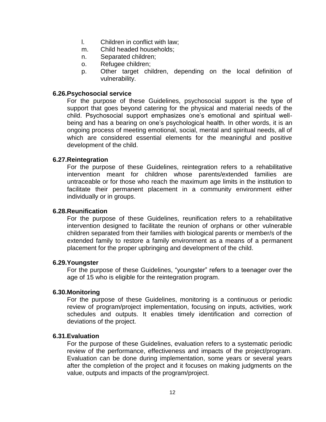- l. Children in conflict with law;
- m. Child headed households;
- n. Separated children;
- o. Refugee children;
- p. Other target children, depending on the local definition of vulnerability.

#### **6.26.Psychosocial service**

For the purpose of these Guidelines, psychosocial support is the type of support that goes beyond catering for the physical and material needs of the child. Psychosocial support emphasizes one"s emotional and spiritual wellbeing and has a bearing on one"s psychological health*.* In other words, it is an ongoing process of meeting emotional, social, mental and spiritual needs, all of which are considered essential elements for the meaningful and positive development of the child.

#### **6.27.Reintegration**

For the purpose of these Guidelines, reintegration refers to a rehabilitative intervention meant for children whose parents/extended families are untraceable or for those who reach the maximum age limits in the institution to facilitate their permanent placement in a community environment either individually or in groups.

#### **6.28.Reunification**

For the purpose of these Guidelines, reunification refers to a rehabilitative intervention designed to facilitate the reunion of orphans or other vulnerable children separated from their families with biological parents or member/s of the extended family to restore a family environment as a means of a permanent placement for the proper upbringing and development of the child.

#### **6.29.Youngster**

For the purpose of these Guidelines, "youngster" refers to a teenager over the age of 15 who is eligible for the reintegration program.

#### **6.30.Monitoring**

For the purpose of these Guidelines, monitoring is a continuous or periodic review of program/project implementation, focusing on inputs, activities, work schedules and outputs. It enables timely identification and correction of deviations of the project.

#### **6.31.Evaluation**

For the purpose of these Guidelines, evaluation refers to a systematic periodic review of the performance, effectiveness and impacts of the project/program. Evaluation can be done during implementation, some years or several years after the completion of the project and it focuses on making judgments on the value, outputs and impacts of the program/project.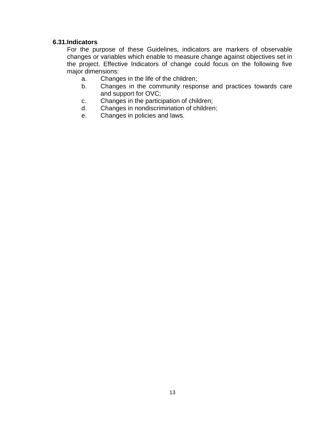## **6.31.Indicators**

For the purpose of these Guidelines, indicators are markers of observable changes or variables which enable to measure change against objectives set in the project. Effective Indicators of change could focus on the following five major dimensions:

- a. Changes in the life of the children;
- b. Changes in the community response and practices towards care and support for OVC;
- c. Changes in the participation of children;
- d. Changes in nondiscrimination of children;
- e. Changes in policies and laws.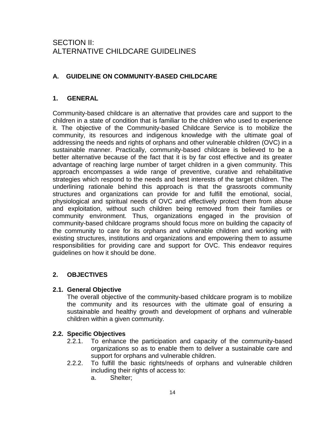# SECTION II: ALTERNATIVE CHILDCARE GUIDELINES

## **A. GUIDELINE ON COMMUNITY-BASED CHILDCARE**

## **1. GENERAL**

Community-based childcare is an alternative that provides care and support to the children in a state of condition that is familiar to the children who used to experience it. The objective of the Community-based Childcare Service is to mobilize the community, its resources and indigenous knowledge with the ultimate goal of addressing the needs and rights of orphans and other vulnerable children (OVC) in a sustainable manner. Practically, community-based childcare is believed to be a better alternative because of the fact that it is by far cost effective and its greater advantage of reaching large number of target children in a given community. This approach encompasses a wide range of preventive, curative and rehabilitative strategies which respond to the needs and best interests of the target children. The underlining rationale behind this approach is that the grassroots community structures and organizations can provide for and fulfill the emotional, social, physiological and spiritual needs of OVC and effectively protect them from abuse and exploitation, without such children being removed from their families or community environment. Thus, organizations engaged in the provision of community-based childcare programs should focus more on building the capacity of the community to care for its orphans and vulnerable children and working with existing structures, institutions and organizations and empowering them to assume responsibilities for providing care and support for OVC. This endeavor requires guidelines on how it should be done.

## **2. OBJECTIVES**

## **2.1. General Objective**

The overall objective of the community-based childcare program is to mobilize the community and its resources with the ultimate goal of ensuring a sustainable and healthy growth and development of orphans and vulnerable children within a given community.

## **2.2. Specific Objectives**

- 2.2.1. To enhance the participation and capacity of the community-based organizations so as to enable them to deliver a sustainable care and support for orphans and vulnerable children.
- 2.2.2. To fulfill the basic rights/needs of orphans and vulnerable children including their rights of access to:
	- a. Shelter;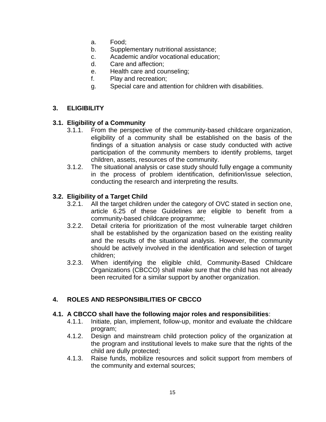- a. Food;
- b. Supplementary nutritional assistance;
- c. Academic and/or vocational education;
- d. Care and affection;
- e. Health care and counseling;
- f. Play and recreation;
- g. Special care and attention for children with disabilities.

## **3. ELIGIBILITY**

## **3.1. Eligibility of a Community**

- 3.1.1. From the perspective of the community-based childcare organization, eligibility of a community shall be established on the basis of the findings of a situation analysis or case study conducted with active participation of the community members to identify problems, target children, assets, resources of the community.
- 3.1.2. The situational analysis or case study should fully engage a community in the process of problem identification, definition/issue selection, conducting the research and interpreting the results.

## **3.2. Eligibility of a Target Child**

- 3.2.1. All the target children under the category of OVC stated in section one, article 6.25 of these Guidelines are eligible to benefit from a community-based childcare programme;
- 3.2.2. Detail criteria for prioritization of the most vulnerable target children shall be established by the organization based on the existing reality and the results of the situational analysis. However, the community should be actively involved in the identification and selection of target children;
- 3.2.3. When identifying the eligible child, Community-Based Childcare Organizations (CBCCO) shall make sure that the child has not already been recruited for a similar support by another organization.

## **4. ROLES AND RESPONSIBILITIES OF CBCCO**

## **4.1. A CBCCO shall have the following major roles and responsibilities**:

- 4.1.1. Initiate, plan, implement, follow-up, monitor and evaluate the childcare program;
- 4.1.2. Design and mainstream child protection policy of the organization at the program and institutional levels to make sure that the rights of the child are dully protected;
- 4.1.3. Raise funds, mobilize resources and solicit support from members of the community and external sources;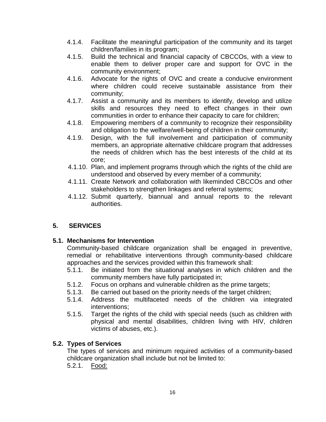- 4.1.4. Facilitate the meaningful participation of the community and its target children/families in its program;
- 4.1.5. Build the technical and financial capacity of CBCCOs, with a view to enable them to deliver proper care and support for OVC in the community environment;
- 4.1.6. Advocate for the rights of OVC and create a conducive environment where children could receive sustainable assistance from their community;
- 4.1.7. Assist a community and its members to identify, develop and utilize skills and resources they need to effect changes in their own communities in order to enhance their capacity to care for children;
- 4.1.8. Empowering members of a community to recognize their responsibility and obligation to the welfare/well-being of children in their community;
- 4.1.9. Design, with the full involvement and participation of community members, an appropriate alternative childcare program that addresses the needs of children which has the best interests of the child at its core;
- 4.1.10. Plan, and implement programs through which the rights of the child are understood and observed by every member of a community;
- 4.1.11. Create Network and collaboration with likeminded CBCCOs and other stakeholders to strengthen linkages and referral systems;
- 4.1.12. Submit quarterly, biannual and annual reports to the relevant authorities.

## **5. SERVICES**

## **5.1. Mechanisms for Intervention**

Community-based childcare organization shall be engaged in preventive, remedial or rehabilitative interventions through community-based childcare approaches and the services provided within this framework shall:

- 5.1.1. Be initiated from the situational analyses in which children and the community members have fully participated in;
- 5.1.2. Focus on orphans and vulnerable children as the prime targets;
- 5.1.3. Be carried out based on the priority needs of the target children;
- 5.1.4. Address the multifaceted needs of the children via integrated interventions;
- 5.1.5. Target the rights of the child with special needs (such as children with physical and mental disabilities, children living with HIV, children victims of abuses, etc.).

## **5.2. Types of Services**

The types of services and minimum required activities of a community-based childcare organization shall include but not be limited to:

5.2.1. Food: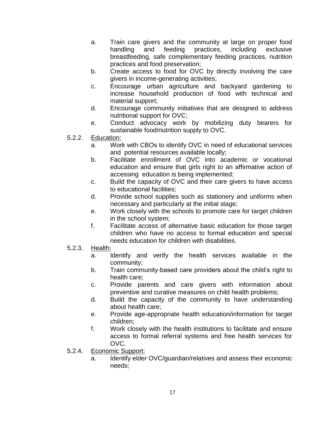- a. Train care givers and the community at large on proper food handling and feeding practices, including exclusive breastfeeding, safe complementary feeding practices, nutrition practices and food preservation;
- b. Create access to food for OVC by directly involving the care givers in income-generating activities;
- c. Encourage urban agriculture and backyard gardening to increase household production of food with technical and material support;
- d. Encourage community initiatives that are designed to address nutritional support for OVC;
- e. Conduct advocacy work by mobilizing duty bearers for sustainable food/nutrition supply to OVC.
- 5.2.2. Education:
	- a. Work with CBOs to identify OVC in need of educational services and potential resources available locally;
	- b. Facilitate enrollment of OVC into academic or vocational education and ensure that girls right to an affirmative action of accessing education is being implemented;
	- c. Build the capacity of OVC and their care givers to have access to educational facilities;
	- d. Provide school supplies such as stationery and uniforms when necessary and particularly at the initial stage;
	- e. Work closely with the schools to promote care for target children in the school system;
	- f. Facilitate access of alternative basic education for those target children who have no access to formal education and special needs education for children with disabilities.
- 5.2.3. Health:
	- a. Identify and verify the health services available in the community;
	- b. Train community-based care providers about the child"s right to health care;
	- c. Provide parents and care givers with information about preventive and curative measures on child health problems;
	- d. Build the capacity of the community to have understanding about health care;
	- e. Provide age-appropriate health education/information for target children;
	- f. Work closely with the health institutions to facilitate and ensure access to formal referral systems and free health services for OVC.
- 5.2.4. Economic Support:
	- a. Identify elder OVC/guardian/relatives and assess their economic needs;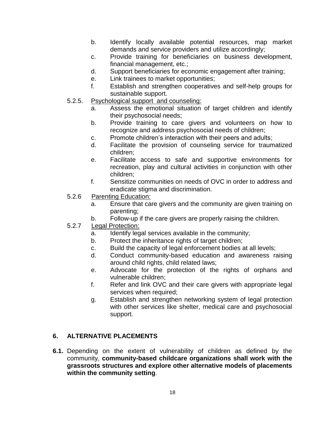- b. Identify locally available potential resources, map market demands and service providers and utilize accordingly;
- c. Provide training for beneficiaries on business development, financial management, etc.;
- d. Support beneficiaries for economic engagement after training;
- e. Link trainees to market opportunities;
- f. Establish and strengthen cooperatives and self-help groups for sustainable support.
- 5.2.5. Psychological support and counseling:
	- a. Assess the emotional situation of target children and identify their psychosocial needs;
	- b. Provide training to care givers and volunteers on how to recognize and address psychosocial needs of children;
	- c. Promote children"s interaction with their peers and adults;
	- d. Facilitate the provision of counseling service for traumatized children;
	- e. Facilitate access to safe and supportive environments for recreation, play and cultural activities in conjunction with other children;
	- f. Sensitize communities on needs of OVC in order to address and eradicate stigma and discrimination.
- 5.2.6 Parenting Education:
	- a. Ensure that care givers and the community are given training on parenting;
	- b. Follow-up if the care givers are properly raising the children.
- 5.2.7 Legal Protection:
	- a. Identify legal services available in the community;
	- b. Protect the inheritance rights of target children;
	- c. Build the capacity of legal enforcement bodies at all levels;
	- d. Conduct community-based education and awareness raising around child rights, child related laws;
	- e. Advocate for the protection of the rights of orphans and vulnerable children;
	- f. Refer and link OVC and their care givers with appropriate legal services when required;
	- g. Establish and strengthen networking system of legal protection with other services like shelter, medical care and psychosocial support.

## **6. ALTERNATIVE PLACEMENTS**

**6.1.** Depending on the extent of vulnerability of children as defined by the community, **community-based childcare organizations shall work with the grassroots structures and explore other alternative models of placements within the community setting**.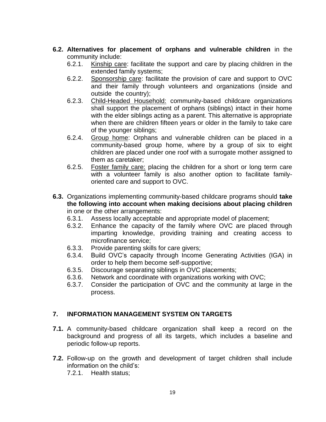- **6.2. Alternatives for placement of orphans and vulnerable children** in the community include:
	- 6.2.1. Kinship care: facilitate the support and care by placing children in the extended family systems;
	- 6.2.2. Sponsorship care: facilitate the provision of care and support to OVC and their family through volunteers and organizations (inside and outside the country);
	- 6.2.3. Child-Headed Household: community-based childcare organizations shall support the placement of orphans (siblings) intact in their home with the elder siblings acting as a parent. This alternative is appropriate when there are children fifteen years or older in the family to take care of the younger siblings;
	- 6.2.4. Group home: Orphans and vulnerable children can be placed in a community-based group home, where by a group of six to eight children are placed under one roof with a surrogate mother assigned to them as caretaker;
	- 6.2.5. Foster family care: placing the children for a short or long term care with a volunteer family is also another option to facilitate familyoriented care and support to OVC.
- **6.3.** Organizations implementing community-based childcare programs should **take the following into account when making decisions about placing children** in one or the other arrangements:
	- 6.3.1. Assess locally acceptable and appropriate model of placement;
	- 6.3.2. Enhance the capacity of the family where OVC are placed through imparting knowledge, providing training and creating access to microfinance service;
	-
	- 6.3.3. Provide parenting skills for care givers;<br>6.3.4. Build OVC's capacity through Income 6.3.4. Build OVC"s capacity through Income Generating Activities (IGA) in order to help them become self-supportive;
	- 6.3.5. Discourage separating siblings in OVC placements;
	- 6.3.6. Network and coordinate with organizations working with OVC;
	- 6.3.7. Consider the participation of OVC and the community at large in the process.

## **7. INFORMATION MANAGEMENT SYSTEM ON TARGETS**

- **7.1.** A community-based childcare organization shall keep a record on the background and progress of all its targets, which includes a baseline and periodic follow-up reports.
- **7.2.** Follow-up on the growth and development of target children shall include information on the child"s:

7.2.1. Health status;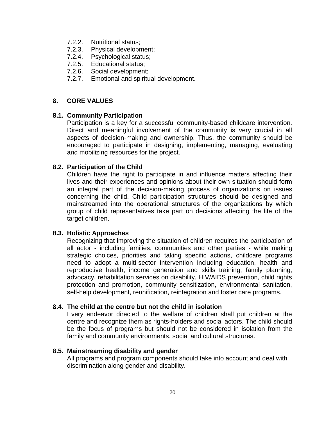- 7.2.2. Nutritional status;
- 7.2.3. Physical development;
- 7.2.4. Psychological status;
- 7.2.5. Educational status;
- 7.2.6. Social development;
- 7.2.7. Emotional and spiritual development.

#### **8. CORE VALUES**

#### **8.1. Community Participation**

Participation is a key for a successful community-based childcare intervention. Direct and meaningful involvement of the community is very crucial in all aspects of decision-making and ownership. Thus, the community should be encouraged to participate in designing, implementing, managing, evaluating and mobilizing resources for the project.

## **8.2. Participation of the Child**

Children have the right to participate in and influence matters affecting their lives and their experiences and opinions about their own situation should form an integral part of the decision-making process of organizations on issues concerning the child. Child participation structures should be designed and mainstreamed into the operational structures of the organizations by which group of child representatives take part on decisions affecting the life of the target children.

#### **8.3. Holistic Approaches**

Recognizing that improving the situation of children requires the participation of all actor - including families, communities and other parties - while making strategic choices, priorities and taking specific actions, childcare programs need to adopt a multi-sector intervention including education, health and reproductive health, income generation and skills training, family planning, advocacy, rehabilitation services on disability, HIV/AIDS prevention, child rights protection and promotion, community sensitization, environmental sanitation, self-help development, reunification, reintegration and foster care programs.

#### **8.4. The child at the centre but not the child in isolation**

Every endeavor directed to the welfare of children shall put children at the centre and recognize them as rights-holders and social actors. The child should be the focus of programs but should not be considered in isolation from the family and community environments, social and cultural structures.

#### **8.5. Mainstreaming disability and gender**

All programs and program components should take into account and deal with discrimination along gender and disability.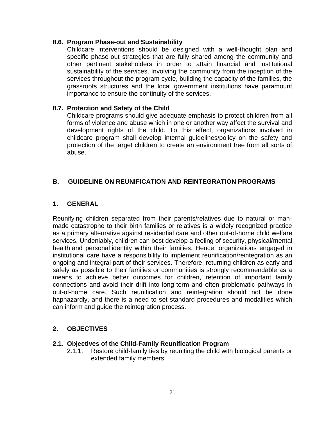## **8.6. Program Phase-out and Sustainability**

Childcare interventions should be designed with a well-thought plan and specific phase-out strategies that are fully shared among the community and other pertinent stakeholders in order to attain financial and institutional sustainability of the services. Involving the community from the inception of the services throughout the program cycle, building the capacity of the families, the grassroots structures and the local government institutions have paramount importance to ensure the continuity of the services.

## **8.7. Protection and Safety of the Child**

Childcare programs should give adequate emphasis to protect children from all forms of violence and abuse which in one or another way affect the survival and development rights of the child. To this effect, organizations involved in childcare program shall develop internal guidelines/policy on the safety and protection of the target children to create an environment free from all sorts of abuse.

## **B. GUIDELINE ON REUNIFICATION AND REINTEGRATION PROGRAMS**

## **1. GENERAL**

Reunifying children separated from their parents/relatives due to natural or manmade catastrophe to their birth families or relatives is a widely recognized practice as a primary alternative against residential care and other out-of-home child welfare services. Undeniably, children can best develop a feeling of security, physical/mental health and personal identity within their families. Hence, organizations engaged in institutional care have a responsibility to implement reunification/reintegration as an ongoing and integral part of their services. Therefore, returning children as early and safely as possible to their families or communities is strongly recommendable as a means to achieve better outcomes for children, retention of important family connections and avoid their drift into long-term and often problematic pathways in out-of-home care. Such reunification and reintegration should not be done haphazardly, and there is a need to set standard procedures and modalities which can inform and guide the reintegration process.

## **2. OBJECTIVES**

## **2.1. Objectives of the Child-Family Reunification Program**

2.1.1. Restore child-family ties by reuniting the child with biological parents or extended family members;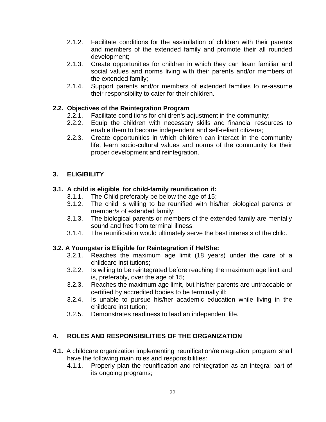- 2.1.2. Facilitate conditions for the assimilation of children with their parents and members of the extended family and promote their all rounded development;
- 2.1.3. Create opportunities for children in which they can learn familiar and social values and norms living with their parents and/or members of the extended family;
- 2.1.4. Support parents and/or members of extended families to re-assume their responsibility to cater for their children.

## **2.2. Objectives of the Reintegration Program**

- 2.2.1. Facilitate conditions for children's adjustment in the community;
- 2.2.2. Equip the children with necessary skills and financial resources to enable them to become independent and self-reliant citizens;
- 2.2.3. Create opportunities in which children can interact in the community life, learn socio-cultural values and norms of the community for their proper development and reintegration.

## **3. ELIGIBILITY**

## **3.1. A child is eligible for child-family reunification if:**

- 3.1.1. The Child preferably be below the age of 15;
- 3.1.2. The child is willing to be reunified with his/her biological parents or member/s of extended family;
- 3.1.3. The biological parents or members of the extended family are mentally sound and free from terminal illness;
- 3.1.4. The reunification would ultimately serve the best interests of the child.

## **3.2. A Youngster is Eligible for Reintegration if He/She:**

- 3.2.1. Reaches the maximum age limit (18 years) under the care of a childcare institutions;
- 3.2.2. Is willing to be reintegrated before reaching the maximum age limit and is, preferably, over the age of 15;
- 3.2.3. Reaches the maximum age limit, but his/her parents are untraceable or certified by accredited bodies to be terminally ill;
- 3.2.4. Is unable to pursue his/her academic education while living in the childcare institution;
- 3.2.5. Demonstrates readiness to lead an independent life.

## **4. ROLES AND RESPONSIBILITIES OF THE ORGANIZATION**

- **4.1.** A childcare organization implementing reunification/reintegration program shall have the following main roles and responsibilities:
	- 4.1.1. Properly plan the reunification and reintegration as an integral part of its ongoing programs;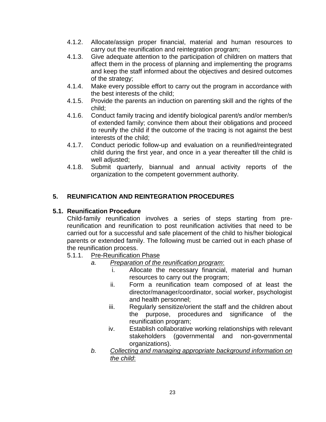- 4.1.2. Allocate/assign proper financial, material and human resources to carry out the reunification and reintegration program;
- 4.1.3. Give adequate attention to the participation of children on matters that affect them in the process of planning and implementing the programs and keep the staff informed about the objectives and desired outcomes of the strategy;
- 4.1.4. Make every possible effort to carry out the program in accordance with the best interests of the child;
- 4.1.5. Provide the parents an induction on parenting skill and the rights of the child;
- 4.1.6. Conduct family tracing and identify biological parent/s and/or member/s of extended family; convince them about their obligations and proceed to reunify the child if the outcome of the tracing is not against the best interests of the child;
- 4.1.7. Conduct periodic follow-up and evaluation on a reunified/reintegrated child during the first year, and once in a year thereafter till the child is well adjusted;
- 4.1.8. Submit quarterly, biannual and annual activity reports of the organization to the competent government authority.

## **5. REUNIFICATION AND REINTEGRATION PROCEDURES**

## **5.1. Reunification Procedure**

Child-family reunification involves a series of steps starting from prereunification and reunification to post reunification activities that need to be carried out for a successful and safe placement of the child to his/her biological parents or extended family. The following must be carried out in each phase of the reunification process.

- 5.1.1. Pre-Reunification Phase
	- *a. Preparation of the reunification program*:
		- i. Allocate the necessary financial, material and human resources to carry out the program;
		- ii. Form a reunification team composed of at least the director/manager/coordinator, social worker, psychologist and health personnel;
		- iii. Regularly sensitize/orient the staff and the children about the purpose, procedures and significance of the reunification program;
		- iv. Establish collaborative working relationships with relevant stakeholders (governmental and non-governmental organizations).
	- *b. Collecting and managing appropriate background information on the child*: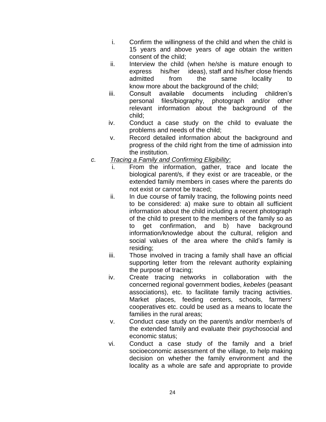- i. Confirm the willingness of the child and when the child is 15 years and above years of age obtain the written consent of the child;
- ii. Interview the child (when he/she is mature enough to express his/her ideas), staff and his/her close friends admitted from the same locality to know more about the background of the child;
- iii. Consult available documents including children"s personal files/biography, photograph and/or other relevant information about the background of the child;
- iv. Conduct a case study on the child to evaluate the problems and needs of the child;
- v. Record detailed information about the background and progress of the child right from the time of admission into the institution.
- *c. Tracing a Family and Confirming Eligibility*:
	- i. From the information, gather, trace and locate the biological parent/s, if they exist or are traceable, or the extended family members in cases where the parents do not exist or cannot be traced;
	- ii. In due course of family tracing, the following points need to be considered: a) make sure to obtain all sufficient information about the child including a recent photograph of the child to present to the members of the family so as to get confirmation, and b) have background information/knowledge about the cultural, religion and social values of the area where the child's family is residing;
	- iii. Those involved in tracing a family shall have an official supporting letter from the relevant authority explaining the purpose of tracing;
	- iv. Create tracing networks in collaboration with the concerned regional government bodies, *kebeles* (peasant associations), etc. to facilitate family tracing activities. Market places, feeding centers, schools, farmers' cooperatives etc. could be used as a means to locate the families in the rural areas;
	- v. Conduct case study on the parent/s and/or member/s of the extended family and evaluate their psychosocial and economic status;
	- vi. Conduct a case study of the family and a brief socioeconomic assessment of the village, to help making decision on whether the family environment and the locality as a whole are safe and appropriate to provide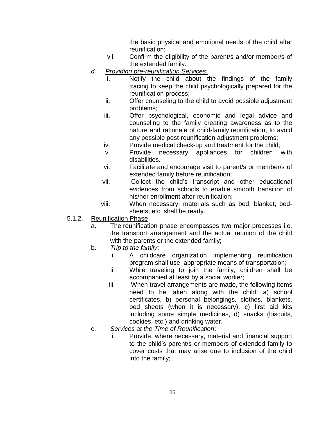the basic physical and emotional needs of the child after reunification;

- vii. Confirm the eligibility of the parent/s and/or member/s of the extended family.
- *d. Providing pre-reunification Services*:
	- i. Notify the child about the findings of the family tracing to keep the child psychologically prepared for the reunification process;
	- ii. Offer counseling to the child to avoid possible adjustment problems;
	- iii. Offer psychological, economic and legal advice and counseling to the family creating awareness as to the nature and rationale of child-family reunification, to avoid any possible post-reunification adjustment problems;
	- iv. Provide medical check-up and treatment for the child;
	- v. Provide necessary appliances for children with disabilities.
	- vi. Facilitate and encourage visit to parent/s or member/s of extended family before reunification;
	- vii. Collect the child"s transcript and other educational evidences from schools to enable smooth transition of his/her enrollment after reunification;
	- viii. When necessary, materials such as bed, blanket, bedsheets, etc. shall be ready.
- 5.1.2. Reunification Phase
	- a. The reunification phase encompasses two major processes i.e. the transport arrangement and the actual reunion of the child with the parents or the extended family;
	- b. *Trip to the family*:
		- i. A childcare organization implementing reunification program shall use appropriate means of transportation;
		- ii. While traveling to join the family, children shall be accompanied at least by a social worker;
		- iii. When travel arrangements are made, the following items need to be taken along with the child: a) school certificates, b) personal belongings, clothes, blankets, bed sheets (when it is necessary), c) first aid kits including some simple medicines, d) snacks (biscuits, cookies, etc.) and drinking water.
	- c. *Services at the Time of Reunification*:
		- Provide, where necessary, material and financial support to the child"s parent/s or members of extended family to cover costs that may arise due to inclusion of the child into the family;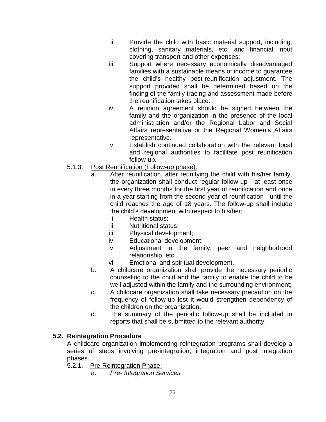- ii. Provide the child with basic material support, including, clothing, sanitary materials, etc. and financial input covering transport and other expenses;
- iii. Support where necessary economically disadvantaged families with a sustainable means of income to guarantee the child"s healthy post-reunification adjustment. The support provided shall be determined based on the finding of the family tracing and assessment made before the reunification takes place.
- iv. A reunion agreement should be signed between the family and the organization in the presence of the local administration and/or the Regional Labor and Social Affairs representative or the Regional Women"s Affairs representative.
- v. Establish continued collaboration with the relevant local and regional authorities to facilitate post reunification follow-up.
- 5.1.3. Post Reunification (Follow-up phase):
	- a. After reunification, after reunifying the child with his/her family, the organization shall conduct regular follow-up - at least once in every three months for the first year of reunification and once in a year starting from the second year of reunification - until the child reaches the age of 18 years. The follow-up shall include the child"s development with respect to his/her:
		- i. Health status;
		- ii. Nutritional status;
		- iii. Physical development;
		- iv. Educational development;
		- v. Adjustment in the family, peer and neighborhood relationship, etc;
		- vi. Emotional and spiritual development.
	- b. A childcare organization shall provide the necessary periodic counseling to the child and the family to enable the child to be well adjusted within the family and the surrounding environment;
	- c. A childcare organization shall take necessary precaution on the frequency of follow-up lest it would strengthen dependency of the children on the organization;
	- d. The summary of the periodic follow-up shall be included in reports that shall be submitted to the relevant authority.

## **5.2. Reintegration Procedure**

A childcare organization implementing reintegration programs shall develop a series of steps involving pre-integration, integration and post integration phases.

- 5.2.1. Pre-Reintegration Phase:
	- a. *Pre- Integration Services*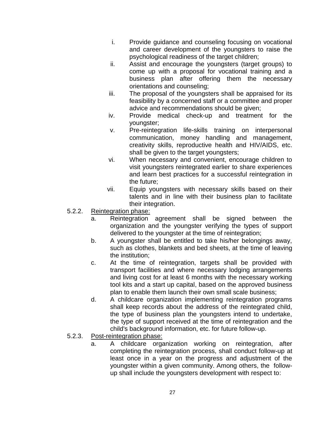- i. Provide guidance and counseling focusing on vocational and career development of the youngsters to raise the psychological readiness of the target children;
- ii. Assist and encourage the youngsters (target groups) to come up with a proposal for vocational training and a business plan after offering them the necessary orientations and counseling;
- iii. The proposal of the youngsters shall be appraised for its feasibility by a concerned staff or a committee and proper advice and recommendations should be given;
- iv. Provide medical check-up and treatment for the youngster;
- v. Pre-reintegration life-skills training on interpersonal communication, money handling and management, creativity skills, reproductive health and HIV/AIDS, etc. shall be given to the target youngsters;
- vi. When necessary and convenient, encourage children to visit youngsters reintegrated earlier to share experiences and learn best practices for a successful reintegration in the future;
- vii. Equip youngsters with necessary skills based on their talents and in line with their business plan to facilitate their integration.
- 5.2.2. Reintegration phase:
	- a. Reintegration agreement shall be signed between the organization and the youngster verifying the types of support delivered to the youngster at the time of reintegration;
	- b. A youngster shall be entitled to take his/her belongings away, such as clothes, blankets and bed sheets, at the time of leaving the institution;
	- c. At the time of reintegration, targets shall be provided with transport facilities and where necessary lodging arrangements and living cost for at least 6 months with the necessary working tool kits and a start up capital, based on the approved business plan to enable them launch their own small scale business;
	- d. A childcare organization implementing reintegration programs shall keep records about the address of the reintegrated child, the type of business plan the youngsters intend to undertake, the type of support received at the time of reintegration and the child's background information, etc. for future follow-up.
- 5.2.3. Post-reintegration phase:
	- a. A childcare organization working on reintegration, after completing the reintegration process, shall conduct follow-up at least once in a year on the progress and adjustment of the youngster within a given community. Among others, the followup shall include the youngsters development with respect to: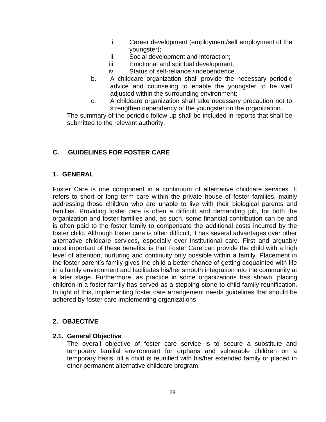- i. Career development (employment/self employment of the youngster);
- ii. Social development and interaction;
- iii. Emotional and spiritual development;
- iv. Status of self-reliance /independence.
- b. A childcare organization shall provide the necessary periodic advice and counseling to enable the youngster to be well adjusted within the surrounding environment;
- c. A childcare organization shall take necessary precaution not to strengthen dependency of the youngster on the organization.

The summary of the periodic follow-up shall be included in reports that shall be submitted to the relevant authority.

## **C. GUIDELINES FOR FOSTER CARE**

## **1. GENERAL**

Foster Care is one component in a continuum of alternative childcare services. It refers to short or long term care within the private house of foster families, mainly addressing those children who are unable to live with their biological parents and families. Providing foster care is often a difficult and demanding job, for both the organization and foster families and, as such, some financial contribution can be and is often paid to the foster family to compensate the additional costs incurred by the foster child. Although foster care is often difficult, it has several advantages over other alternative childcare services, especially over institutional care. First and arguably most important of these benefits, is that Foster Care can provide the child with a high level of attention, nurturing and continuity only possible within a family. Placement in the foster parent"s family gives the child a better chance of getting acquainted with life in a family environment and facilitates his/her smooth integration into the community at a later stage. Furthermore, as practice in some organizations has shown, placing children in a foster family has served as a stepping-stone to child-family reunification. In light of this, implementing foster care arrangement needs guidelines that should be adhered by foster care implementing organizations.

## **2. OBJECTIVE**

## **2.1. General Objective**

The overall objective of foster care service is to secure a substitute and temporary familial environment for orphans and vulnerable children on a temporary basis, till a child is reunified with his/her extended family or placed in other permanent alternative childcare program.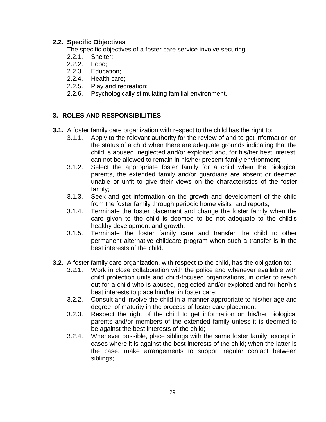## **2.2. Specific Objectives**

The specific objectives of a foster care service involve securing:

- 2.2.1. Shelter;
- 2.2.2. Food;
- 2.2.3. Education;
- 2.2.4. Health care;
- 2.2.5. Play and recreation;
- 2.2.6. Psychologically stimulating familial environment.

## **3. ROLES AND RESPONSIBILITIES**

- **3.1.** A foster family care organization with respect to the child has the right to:
	- 3.1.1. Apply to the relevant authority for the review of and to get information on the status of a child when there are adequate grounds indicating that the child is abused, neglected and/or exploited and, for his/her best interest, can not be allowed to remain in his/her present family environment;
	- 3.1.2. Select the appropriate foster family for a child when the biological parents, the extended family and/or guardians are absent or deemed unable or unfit to give their views on the characteristics of the foster family;
	- 3.1.3. Seek and get information on the growth and development of the child from the foster family through periodic home visits and reports;
	- 3.1.4. Terminate the foster placement and change the foster family when the care given to the child is deemed to be not adequate to the child"s healthy development and growth;
	- 3.1.5. Terminate the foster family care and transfer the child to other permanent alternative childcare program when such a transfer is in the best interests of the child.
- **3.2.** A foster family care organization, with respect to the child, has the obligation to:
	- 3.2.1. Work in close collaboration with the police and whenever available with child protection units and child-focused organizations, in order to reach out for a child who is abused, neglected and/or exploited and for her/his best interests to place him/her in foster care;
	- 3.2.2. Consult and involve the child in a manner appropriate to his/her age and degree of maturity in the process of foster care placement;
	- 3.2.3. Respect the right of the child to get information on his/her biological parents and/or members of the extended family unless it is deemed to be against the best interests of the child;
	- 3.2.4. Whenever possible, place siblings with the same foster family, except in cases where it is against the best interests of the child; when the latter is the case, make arrangements to support regular contact between siblings;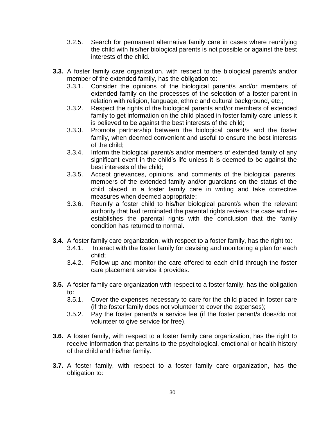- 3.2.5. Search for permanent alternative family care in cases where reunifying the child with his/her biological parents is not possible or against the best interests of the child.
- **3.3.** A foster family care organization, with respect to the biological parent/s and/or member of the extended family, has the obligation to:
	- 3.3.1. Consider the opinions of the biological parent/s and/or members of extended family on the processes of the selection of a foster parent in relation with religion, language, ethnic and cultural background, etc.;
	- 3.3.2. Respect the rights of the biological parents and/or members of extended family to get information on the child placed in foster family care unless it is believed to be against the best interests of the child;
	- 3.3.3. Promote partnership between the biological parent/s and the foster family, when deemed convenient and useful to ensure the best interests of the child;
	- 3.3.4. Inform the biological parent/s and/or members of extended family of any significant event in the child"s life unless it is deemed to be against the best interests of the child;
	- 3.3.5. Accept grievances, opinions, and comments of the biological parents, members of the extended family and/or guardians on the status of the child placed in a foster family care in writing and take corrective measures when deemed appropriate;
	- 3.3.6. Reunify a foster child to his/her biological parent/s when the relevant authority that had terminated the parental rights reviews the case and reestablishes the parental rights with the conclusion that the family condition has returned to normal.
- **3.4.** A foster family care organization, with respect to a foster family, has the right to:
	- 3.4.1. Interact with the foster family for devising and monitoring a plan for each child;
	- 3.4.2. Follow-up and monitor the care offered to each child through the foster care placement service it provides.
- **3.5.** A foster family care organization with respect to a foster family, has the obligation to:
	- 3.5.1. Cover the expenses necessary to care for the child placed in foster care (if the foster family does not volunteer to cover the expenses);
	- 3.5.2. Pay the foster parent/s a service fee (if the foster parent/s does/do not volunteer to give service for free).
- **3.6.** A foster family, with respect to a foster family care organization, has the right to receive information that pertains to the psychological, emotional or health history of the child and his/her family.
- **3.7.** A foster family, with respect to a foster family care organization, has the obligation to: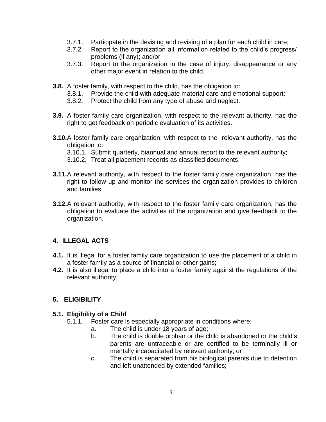- 3.7.1. Participate in the devising and revising of a plan for each child in care;
- 3.7.2. Report to the organization all information related to the child"s progress/ problems (if any); and/or
- 3.7.3. Report to the organization in the case of injury, disappearance or any other major event in relation to the child.
- **3.8.** A foster family, with respect to the child, has the obligation to:
	- 3.8.1. Provide the child with adequate material care and emotional support;
	- 3.8.2. Protect the child from any type of abuse and neglect.
- **3.9.** A foster family care organization, with respect to the relevant authority, has the right to get feedback on periodic evaluation of its activities.
- **3.10.**A foster family care organization, with respect to the relevant authority, has the obligation to:
	- 3.10.1. Submit quarterly, biannual and annual report to the relevant authority;
	- 3.10.2. Treat all placement records as classified documents.
- **3.11.**A relevant authority, with respect to the foster family care organization, has the right to follow up and monitor the services the organization provides to children and families.
- **3.12.**A relevant authority, with respect to the foster family care organization, has the obligation to evaluate the activities of the organization and give feedback to the organization.

#### **4. ILLEGAL ACTS**

- **4.1.** It is illegal for a foster family care organization to use the placement of a child in a foster family as a source of financial or other gains;
- **4.2.** It is also illegal to place a child into a foster family against the regulations of the relevant authority.

# **5. ELIGIBILITY**

#### **5.1. Eligibility of a Child**

- 5.1.1. Foster care is especially appropriate in conditions where:
	- a. The child is under 18 years of age;
	- b. The child is double orphan or the child is abandoned or the child"s parents are untraceable or are certified to be terminally ill or mentally incapacitated by relevant authority; or
	- c. The child is separated from his biological parents due to detention and left unattended by extended families;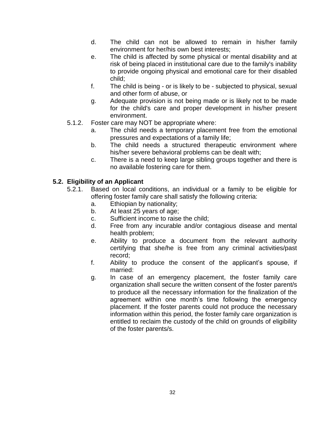- d. The child can not be allowed to remain in his/her family environment for her/his own best interests;
- e. The child is affected by some physical or mental disability and at risk of being placed in institutional care due to the family's inability to provide ongoing physical and emotional care for their disabled child;
- f. The child is being or is likely to be subjected to physical, sexual and other form of abuse, or
- g. Adequate provision is not being made or is likely not to be made for the child's care and proper development in his/her present environment.
- 5.1.2. Foster care may NOT be appropriate where:
	- a. The child needs a temporary placement free from the emotional pressures and expectations of a family life;
	- b. The child needs a structured therapeutic environment where his/her severe behavioral problems can be dealt with;
	- c. There is a need to keep large sibling groups together and there is no available fostering care for them.

# **5.2. Eligibility of an Applicant**

- 5.2.1. Based on local conditions, an individual or a family to be eligible for offering foster family care shall satisfy the following criteria:
	- a. Ethiopian by nationality;
	- b. At least 25 years of age;
	- c. Sufficient income to raise the child;
	- d. Free from any incurable and/or contagious disease and mental health problem;
	- e. Ability to produce a document from the relevant authority certifying that she/he is free from any criminal activities/past record;
	- f. Ability to produce the consent of the applicant"s spouse, if married:
	- g. In case of an emergency placement, the foster family care organization shall secure the written consent of the foster parent/s to produce all the necessary information for the finalization of the agreement within one month"s time following the emergency placement. If the foster parents could not produce the necessary information within this period, the foster family care organization is entitled to reclaim the custody of the child on grounds of eligibility of the foster parents/s.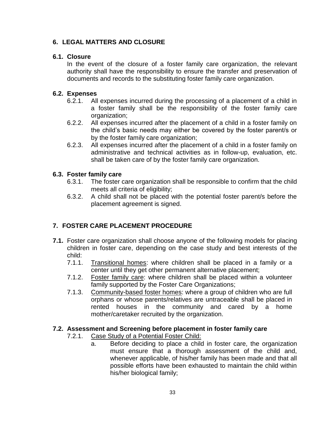# **6. LEGAL MATTERS AND CLOSURE**

## **6.1. Closure**

In the event of the closure of a foster family care organization, the relevant authority shall have the responsibility to ensure the transfer and preservation of documents and records to the substituting foster family care organization.

## **6.2. Expenses**

- 6.2.1. All expenses incurred during the processing of a placement of a child in a foster family shall be the responsibility of the foster family care organization;
- 6.2.2. All expenses incurred after the placement of a child in a foster family on the child"s basic needs may either be covered by the foster parent/s or by the foster family care organization;
- 6.2.3. All expenses incurred after the placement of a child in a foster family on administrative and technical activities as in follow-up, evaluation, etc. shall be taken care of by the foster family care organization.

# **6.3. Foster family care**

- 6.3.1. The foster care organization shall be responsible to confirm that the child meets all criteria of eligibility;
- 6.3.2. A child shall not be placed with the potential foster parent/s before the placement agreement is signed.

# **7. FOSTER CARE PLACEMENT PROCEDURE**

- **7.1.** Foster care organization shall choose anyone of the following models for placing children in foster care, depending on the case study and best interests of the child:
	- 7.1.1. Transitional homes: where children shall be placed in a family or a center until they get other permanent alternative placement;
	- 7.1.2. Foster family care: where children shall be placed within a volunteer family supported by the Foster Care Organizations;
	- 7.1.3. Community-based foster homes: where a group of children who are full orphans or whose parents/relatives are untraceable shall be placed in rented houses in the community and cared by a home mother/caretaker recruited by the organization.

# **7.2. Assessment and Screening before placement in foster family care**

- 7.2.1. Case Study of a Potential Foster Child:
	- a. Before deciding to place a child in foster care, the organization must ensure that a thorough assessment of the child and, whenever applicable, of his/her family has been made and that all possible efforts have been exhausted to maintain the child within his/her biological family;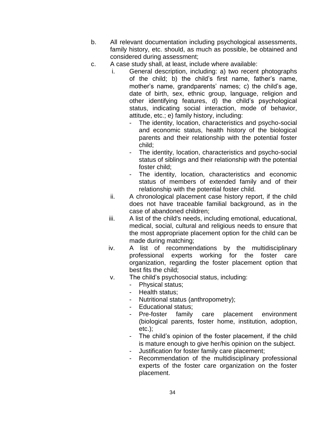- b. All relevant documentation including psychological assessments, family history, etc. should, as much as possible, be obtained and considered during assessment;
- c. A case study shall, at least, include where available:
	- i. General description, including: a) two recent photographs of the child; b) the child's first name, father's name, mother's name, grandparents' names; c) the child's age, date of birth, sex, ethnic group, language, religion and other identifying features, d) the child"s psychological status, indicating social interaction, mode of behavior, attitude, etc.; e) family history, including:
		- The identity, location, characteristics and psycho-social and economic status, health history of the biological parents and their relationship with the potential foster child;
		- The identity, location, characteristics and psycho-social status of siblings and their relationship with the potential foster child;
		- The identity, location, characteristics and economic status of members of extended family and of their relationship with the potential foster child.
	- ii. A chronological placement case history report, if the child does not have traceable familial background, as in the case of abandoned children;
	- iii. A list of the child's needs, including emotional, educational, medical, social, cultural and religious needs to ensure that the most appropriate placement option for the child can be made during matching;
	- iv. A list of recommendations by the multidisciplinary professional experts working for the foster care organization, regarding the foster placement option that best fits the child;
	- v. The child"s psychosocial status, including:
		- Physical status;
		- Health status:
		- Nutritional status (anthropometry);
		- Educational status;
		- Pre-foster family care placement environment (biological parents, foster home, institution, adoption, etc.);
		- The child"s opinion of the foster placement, if the child is mature enough to give her/his opinion on the subject.
		- Justification for foster family care placement;
		- Recommendation of the multidisciplinary professional experts of the foster care organization on the foster placement.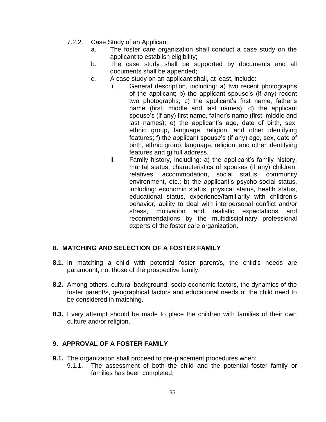- 7.2.2. Case Study of an Applicant:
	- a. The foster care organization shall conduct a case study on the applicant to establish eligibility;
	- b. The case study shall be supported by documents and all documents shall be appended;
	- c. A case study on an applicant shall, at least, include:
		- i. General description, including: a) two recent photographs of the applicant; b) the applicant spouse"s (if any) recent two photographs; c) the applicant"s first name, father"s name (first, middle and last names); d) the applicant spouse's (if any) first name, father's name (first, middle and last names); e) the applicant's age, date of birth, sex, ethnic group, language, religion, and other identifying features; f) the applicant spouse's (if any) age, sex, date of birth, ethnic group, language, religion, and other identifying features and g) full address.
		- ii. Family history, including: a) the applicant's family history, marital status, characteristics of spouses (if any) children, relatives, accommodation, social status, community environment, etc.; b) the applicant's psycho-social status, including: economic status, physical status, health status, educational status, experience/familiarity with children"s behavior, ability to deal with interpersonal conflict and/or stress, motivation and realistic expectations and recommendations by the multidisciplinary professional experts of the foster care organization.

#### **8. MATCHING AND SELECTION OF A FOSTER FAMILY**

- **8.1.** In matching a child with potential foster parent/s, the child's needs are paramount, not those of the prospective family.
- **8.2.** Among others, cultural background, socio-economic factors, the dynamics of the foster parent/s, geographical factors and educational needs of the child need to be considered in matching.
- **8.3.** Every attempt should be made to place the children with families of their own culture and/or religion.

#### **9. APPROVAL OF A FOSTER FAMILY**

- **9.1.** The organization shall proceed to pre-placement procedures when:
	- 9.1.1. The assessment of both the child and the potential foster family or families has been completed;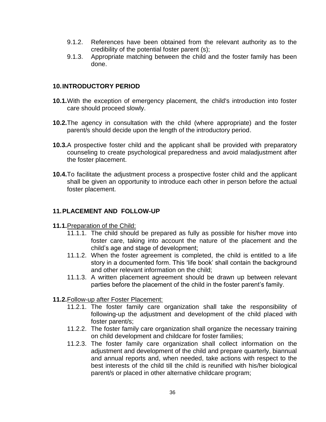- 9.1.2. References have been obtained from the relevant authority as to the credibility of the potential foster parent (s);
- 9.1.3. Appropriate matching between the child and the foster family has been done.

#### **10.INTRODUCTORY PERIOD**

- **10.1.**With the exception of emergency placement, the child's introduction into foster care should proceed slowly.
- **10.2.**The agency in consultation with the child (where appropriate) and the foster parent/s should decide upon the length of the introductory period.
- **10.3.**A prospective foster child and the applicant shall be provided with preparatory counseling to create psychological preparedness and avoid maladjustment after the foster placement.
- **10.4.**To facilitate the adjustment process a prospective foster child and the applicant shall be given an opportunity to introduce each other in person before the actual foster placement.

# **11.PLACEMENT AND FOLLOW-UP**

- **11.1.**Preparation of the Child:
	- 11.1.1. The child should be prepared as fully as possible for his/her move into foster care, taking into account the nature of the placement and the child"s age and stage of development;
	- 11.1.2. When the foster agreement is completed, the child is entitled to a life story in a documented form. This 'life book' shall contain the background and other relevant information on the child;
	- 11.1.3. A written placement agreement should be drawn up between relevant parties before the placement of the child in the foster parent"s family.
- **11.2.**Follow-up after Foster Placement:
	- 11.2.1. The foster family care organization shall take the responsibility of following-up the adjustment and development of the child placed with foster parent/s;
	- 11.2.2. The foster family care organization shall organize the necessary training on child development and childcare for foster families;
	- 11.2.3. The foster family care organization shall collect information on the adjustment and development of the child and prepare quarterly, biannual and annual reports and, when needed, take actions with respect to the best interests of the child till the child is reunified with his/her biological parent/s or placed in other alternative childcare program;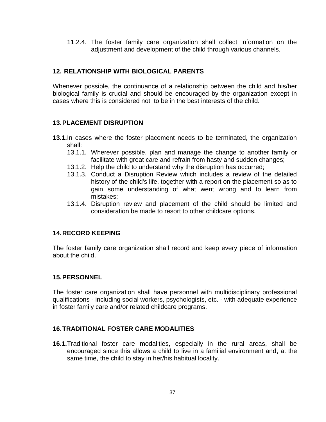11.2.4. The foster family care organization shall collect information on the adjustment and development of the child through various channels.

# **12. RELATIONSHIP WITH BIOLOGICAL PARENTS**

Whenever possible, the continuance of a relationship between the child and his/her biological family is crucial and should be encouraged by the organization except in cases where this is considered not to be in the best interests of the child.

# **13.PLACEMENT DISRUPTION**

- **13.1.**In cases where the foster placement needs to be terminated, the organization shall:
	- 13.1.1. Wherever possible, plan and manage the change to another family or facilitate with great care and refrain from hasty and sudden changes;
	- 13.1.2. Help the child to understand why the disruption has occurred;
	- 13.1.3. Conduct a Disruption Review which includes a review of the detailed history of the child's life, together with a report on the placement so as to gain some understanding of what went wrong and to learn from mistakes;
	- 13.1.4. Disruption review and placement of the child should be limited and consideration be made to resort to other childcare options.

#### **14.RECORD KEEPING**

The foster family care organization shall record and keep every piece of information about the child.

#### **15.PERSONNEL**

The foster care organization shall have personnel with multidisciplinary professional qualifications - including social workers, psychologists, etc. - with adequate experience in foster family care and/or related childcare programs.

#### **16.TRADITIONAL FOSTER CARE MODALITIES**

**16.1.**Traditional foster care modalities, especially in the rural areas, shall be encouraged since this allows a child to live in a familial environment and, at the same time, the child to stay in her/his habitual locality.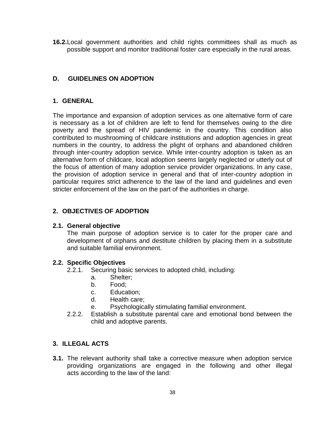**16.2.**Local government authorities and child rights committees shall as much as possible support and monitor traditional foster care especially in the rural areas.

## **D. GUIDELINES ON ADOPTION**

#### **1. GENERAL**

The importance and expansion of adoption services as one alternative form of care is necessary as a lot of children are left to fend for themselves owing to the dire poverty and the spread of HIV pandemic in the country. This condition also contributed to mushrooming of childcare institutions and adoption agencies in great numbers in the country, to address the plight of orphans and abandoned children through inter-country adoption service. While inter-country adoption is taken as an alternative form of childcare, local adoption seems largely neglected or utterly out of the focus of attention of many adoption service provider organizations. In any case, the provision of adoption service in general and that of inter-country adoption in particular requires strict adherence to the law of the land and guidelines and even stricter enforcement of the law on the part of the authorities in charge.

#### **2. OBJECTIVES OF ADOPTION**

#### **2.1. General objective**

The main purpose of adoption service is to cater for the proper care and development of orphans and destitute children by placing them in a substitute and suitable familial environment.

#### **2.2. Specific Objectives**

- 2.2.1. Securing basic services to adopted child, including:
	- a. Shelter;
	- b. Food;
	- c. Education;
	- d. Health care;
	- e. Psychologically stimulating familial environment.
- 2.2.2. Establish a substitute parental care and emotional bond between the child and adoptive parents.

## **3. ILLEGAL ACTS**

**3.1.** The relevant authority shall take a corrective measure when adoption service providing organizations are engaged in the following and other illegal acts according to the law of the land: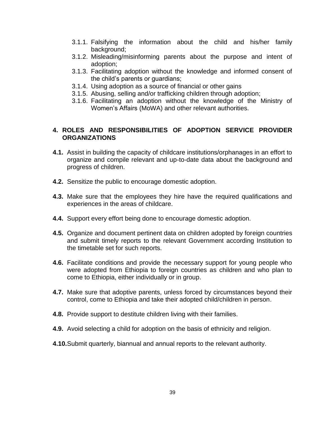- 3.1.1. Falsifying the information about the child and his/her family background;
- 3.1.2. Misleading/misinforming parents about the purpose and intent of adoption;
- 3.1.3. Facilitating adoption without the knowledge and informed consent of the child"s parents or guardians;
- 3.1.4. Using adoption as a source of financial or other gains
- 3.1.5. Abusing, selling and/or trafficking children through adoption;
- 3.1.6. Facilitating an adoption without the knowledge of the Ministry of Women"s Affairs (MoWA) and other relevant authorities.

### **4. ROLES AND RESPONSIBILITIES OF ADOPTION SERVICE PROVIDER ORGANIZATIONS**

- **4.1.** Assist in building the capacity of childcare institutions/orphanages in an effort to organize and compile relevant and up-to-date data about the background and progress of children.
- **4.2.** Sensitize the public to encourage domestic adoption.
- **4.3.** Make sure that the employees they hire have the required qualifications and experiences in the areas of childcare.
- **4.4.** Support every effort being done to encourage domestic adoption.
- **4.5.** Organize and document pertinent data on children adopted by foreign countries and submit timely reports to the relevant Government according Institution to the timetable set for such reports.
- **4.6.** Facilitate conditions and provide the necessary support for young people who were adopted from Ethiopia to foreign countries as children and who plan to come to Ethiopia, either individually or in group.
- **4.7.** Make sure that adoptive parents, unless forced by circumstances beyond their control, come to Ethiopia and take their adopted child/children in person.
- **4.8.** Provide support to destitute children living with their families.
- **4.9.** Avoid selecting a child for adoption on the basis of ethnicity and religion.
- **4.10.**Submit quarterly, biannual and annual reports to the relevant authority.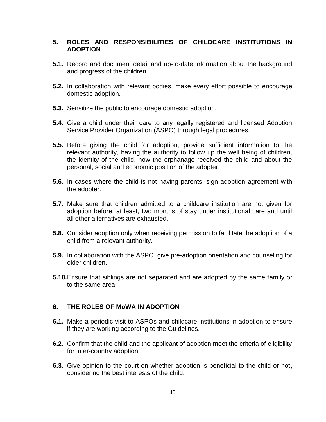#### **5. ROLES AND RESPONSIBILITIES OF CHILDCARE INSTITUTIONS IN ADOPTION**

- **5.1.** Record and document detail and up-to-date information about the background and progress of the children.
- **5.2.** In collaboration with relevant bodies, make every effort possible to encourage domestic adoption.
- **5.3.** Sensitize the public to encourage domestic adoption.
- **5.4.** Give a child under their care to any legally registered and licensed Adoption Service Provider Organization (ASPO) through legal procedures.
- **5.5.** Before giving the child for adoption, provide sufficient information to the relevant authority, having the authority to follow up the well being of children, the identity of the child, how the orphanage received the child and about the personal, social and economic position of the adopter.
- **5.6.** In cases where the child is not having parents, sign adoption agreement with the adopter.
- **5.7.** Make sure that children admitted to a childcare institution are not given for adoption before, at least, two months of stay under institutional care and until all other alternatives are exhausted.
- **5.8.** Consider adoption only when receiving permission to facilitate the adoption of a child from a relevant authority.
- **5.9.** In collaboration with the ASPO, give pre-adoption orientation and counseling for older children.
- **5.10.**Ensure that siblings are not separated and are adopted by the same family or to the same area.

# **6. THE ROLES OF MoWA IN ADOPTION**

- **6.1.** Make a periodic visit to ASPOs and childcare institutions in adoption to ensure if they are working according to the Guidelines.
- **6.2.** Confirm that the child and the applicant of adoption meet the criteria of eligibility for inter-country adoption.
- **6.3.** Give opinion to the court on whether adoption is beneficial to the child or not, considering the best interests of the child.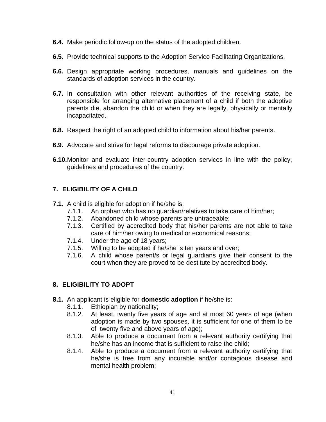- **6.4.** Make periodic follow-up on the status of the adopted children.
- **6.5.** Provide technical supports to the Adoption Service Facilitating Organizations.
- **6.6.** Design appropriate working procedures, manuals and guidelines on the standards of adoption services in the country.
- **6.7.** In consultation with other relevant authorities of the receiving state, be responsible for arranging alternative placement of a child if both the adoptive parents die, abandon the child or when they are legally, physically or mentally incapacitated.
- **6.8.** Respect the right of an adopted child to information about his/her parents.
- **6.9.** Advocate and strive for legal reforms to discourage private adoption.
- **6.10.**Monitor and evaluate inter-country adoption services in line with the policy, guidelines and procedures of the country.

### **7. ELIGIBILITY OF A CHILD**

- **7.1.** A child is eligible for adoption if he/she is:
	- 7.1.1. An orphan who has no guardian/relatives to take care of him/her;
	- 7.1.2. Abandoned child whose parents are untraceable;
	- 7.1.3. Certified by accredited body that his/her parents are not able to take care of him/her owing to medical or economical reasons;
	- 7.1.4. Under the age of 18 years;
	- 7.1.5. Willing to be adopted if he/she is ten years and over;
	- 7.1.6. A child whose parent/s or legal guardians give their consent to the court when they are proved to be destitute by accredited body.

#### **8. ELIGIBILITY TO ADOPT**

- **8.1.** An applicant is eligible for **domestic adoption** if he/she is:
	- 8.1.1. Ethiopian by nationality;
	- 8.1.2. At least, twenty five years of age and at most 60 years of age (when adoption is made by two spouses, it is sufficient for one of them to be of twenty five and above years of age);
	- 8.1.3. Able to produce a document from a relevant authority certifying that he/she has an income that is sufficient to raise the child;
	- 8.1.4. Able to produce a document from a relevant authority certifying that he/she is free from any incurable and/or contagious disease and mental health problem;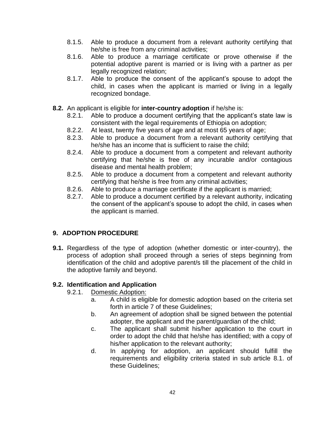- 8.1.5. Able to produce a document from a relevant authority certifying that he/she is free from any criminal activities;
- 8.1.6. Able to produce a marriage certificate or prove otherwise if the potential adoptive parent is married or is living with a partner as per legally recognized relation;
- 8.1.7. Able to produce the consent of the applicant"s spouse to adopt the child, in cases when the applicant is married or living in a legally recognized bondage.
- **8.2.** An applicant is eligible for **inter-country adoption** if he/she is:
	- 8.2.1. Able to produce a document certifying that the applicant"s state law is consistent with the legal requirements of Ethiopia on adoption;
	- 8.2.2. At least, twenty five years of age and at most 65 years of age;
	- 8.2.3. Able to produce a document from a relevant authority certifying that he/she has an income that is sufficient to raise the child;
	- 8.2.4. Able to produce a document from a competent and relevant authority certifying that he/she is free of any incurable and/or contagious disease and mental health problem;
	- 8.2.5. Able to produce a document from a competent and relevant authority certifying that he/she is free from any criminal activities;
	- 8.2.6. Able to produce a marriage certificate if the applicant is married;
	- 8.2.7. Able to produce a document certified by a relevant authority, indicating the consent of the applicant"s spouse to adopt the child, in cases when the applicant is married.

# **9. ADOPTION PROCEDURE**

**9.1.** Regardless of the type of adoption (whether domestic or inter-country), the process of adoption shall proceed through a series of steps beginning from identification of the child and adoptive parent/s till the placement of the child in the adoptive family and beyond.

# **9.2. Identification and Application**

- 9.2.1. Domestic Adoption:
	- a. A child is eligible for domestic adoption based on the criteria set forth in article 7 of these Guidelines;
	- b. An agreement of adoption shall be signed between the potential adopter, the applicant and the parent/guardian of the child;
	- c. The applicant shall submit his/her application to the court in order to adopt the child that he/she has identified; with a copy of his/her application to the relevant authority;
	- d. In applying for adoption, an applicant should fulfill the requirements and eligibility criteria stated in sub article 8.1. of these Guidelines;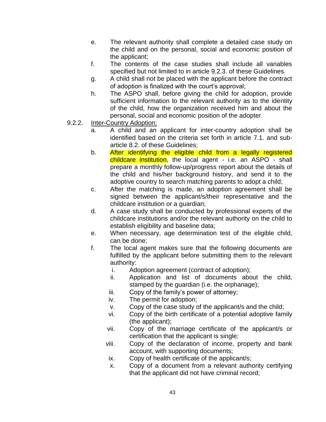- e. The relevant authority shall complete a detailed case study on the child and on the personal, social and economic position of the applicant;
- f. The contents of the case studies shall include all variables specified but not limited to in article 9.2.3. of these Guidelines.
- g. A child shall not be placed with the applicant before the contract of adoption is finalized with the court's approval;
- h. The ASPO shall, before giving the child for adoption, provide sufficient information to the relevant authority as to the identity of the child, how the organization received him and about the personal, social and economic position of the adopter.
- 9.2.2. Inter-Country Adoption:
	- a. A child and an applicant for inter-country adoption shall be identified based on the criteria set forth in article 7.1. and subarticle 8.2. of these Guidelines;
	- b. After identifying the eligible child from a legally registered childcare institution, the local agent - i.e. an ASPO - shall prepare a monthly follow-up/progress report about the details of the child and his/her background history, and send it to the adoptive country to search matching parents to adopt a child;
	- c. After the matching is made, an adoption agreement shall be signed between the applicant/s/their representative and the childcare institution or a guardian;
	- d. A case study shall be conducted by professional experts of the childcare institutions and/or the relevant authority on the child to establish eligibility and baseline data;
	- e. When necessary, age determination test of the eligible child, can be done;
	- f. The local agent makes sure that the following documents are fulfilled by the applicant before submitting them to the relevant authority:
		- i. Adoption agreement (contract of adoption);
		- ii. Application and list of documents about the child, stamped by the guardian (i.e. the orphanage);
		- iii. Copy of the family's power of attorney;
		- iv. The permit for adoption;
		- v. Copy of the case study of the applicant/s and the child;
		- vi. Copy of the birth certificate of a potential adoptive family (the applicant);
		- vii. Copy of the marriage certificate of the applicant/s or certification that the applicant is single;
		- viii. Copy of the declaration of income, property and bank account, with supporting documents;
		- ix. Copy of health certificate of the applicant/s;
		- x. Copy of a document from a relevant authority certifying that the applicant did not have criminal record;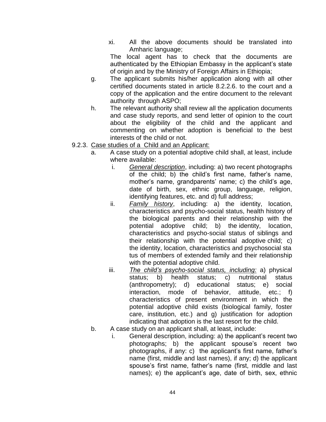xi. All the above documents should be translated into Amharic language;

The local agent has to check that the documents are authenticated by the Ethiopian Embassy in the applicant"s state of origin and by the Ministry of Foreign Affairs in Ethiopia;

- g. The applicant submits his/her application along with all other certified documents stated in article 8.2.2.6. to the court and a copy of the application and the entire document to the relevant authority through ASPO;
- h. The relevant authority shall review all the application documents and case study reports, and send letter of opinion to the court about the eligibility of the child and the applicant and commenting on whether adoption is beneficial to the best interests of the child or not.
- 9.2.3. Case studies of a Child and an Applicant:
	- a. A case study on a potential adoptive child shall, at least, include where available:
		- i. *General description*, including: a) two recent photographs of the child; b) the child"s first name, father"s name, mother's name, grandparents' name; c) the child's age, date of birth, sex, ethnic group, language, religion, identifying features, etc. and d) full address;
		- ii. *Family history*, including: a) the identity, location, characteristics and psycho-social status, health history of the biological parents and their relationship with the potential adoptive child; b) the identity, location, characteristics and psycho-social status of siblings and their relationship with the potential adoptive child; c) the identity, location, characteristics and psychosocial sta tus of members of extended family and their relationship with the potential adoptive child.
		- iii. *The child's psycho-social status, including:* a) physical status; b) health status; c) nutritional status (anthropometry); d) educational status; e) social interaction, mode of behavior, attitude, etc.; f) characteristics of present environment in which the potential adoptive child exists (biological family, foster care, institution, etc.) and g) justification for adoption indicating that adoption is the last resort for the child.
	- b. A case study on an applicant shall, at least, include:
		- i. General description, including: a) the applicant's recent two photographs; b) the applicant spouse"s recent two photographs, if any: c) the applicant's first name, father's name (first, middle and last names), if any; d) the applicant spouse's first name, father's name (first, middle and last names); e) the applicant's age, date of birth, sex, ethnic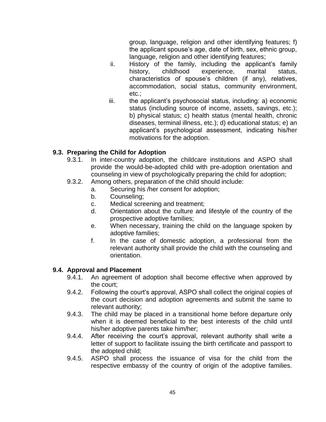group, language, religion and other identifying features; f) the applicant spouse"s age, date of birth, sex, ethnic group, language, religion and other identifying features;

- ii. History of the family, including the applicant's family history, childhood experience, marital status, characteristics of spouse"s children (if any), relatives, accommodation, social status, community environment, etc.;
- iii. the applicant"s psychosocial status, including: a) economic status (including source of income, assets, savings, etc.); b) physical status; c) health status (mental health, chronic diseases, terminal illness, etc.); d) educational status; e) an applicant"s psychological assessment, indicating his/her motivations for the adoption.

# **9.3. Preparing the Child for Adoption**

- 9.3.1. In inter-country adoption, the childcare institutions and ASPO shall provide the would-be-adopted child with pre-adoption orientation and counseling in view of psychologically preparing the child for adoption;
- 9.3.2. Among others, preparation of the child should include:
	- a. Securing his /her consent for adoption;
	- b. Counseling;
	- c. Medical screening and treatment;
	- d. Orientation about the culture and lifestyle of the country of the prospective adoptive families;
	- e. When necessary, training the child on the language spoken by adoptive families;
	- f. In the case of domestic adoption, a professional from the relevant authority shall provide the child with the counseling and orientation.

#### **9.4. Approval and Placement**

- 9.4.1. An agreement of adoption shall become effective when approved by the court;
- 9.4.2. Following the court"s approval, ASPO shall collect the original copies of the court decision and adoption agreements and submit the same to relevant authority;
- 9.4.3. The child may be placed in a transitional home before departure only when it is deemed beneficial to the best interests of the child until his/her adoptive parents take him/her;
- 9.4.4. After receiving the court's approval, relevant authority shall write a letter of support to facilitate issuing the birth certificate and passport to the adopted child;
- 9.4.5. ASPO shall process the issuance of visa for the child from the respective embassy of the country of origin of the adoptive families.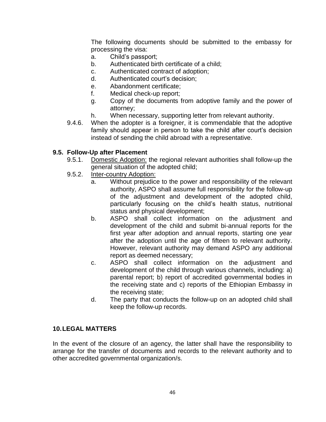The following documents should be submitted to the embassy for processing the visa:

- a. Child"s passport;
- b. Authenticated birth certificate of a child;
- c. Authenticated contract of adoption;
- d. Authenticated court"s decision;
- e. Abandonment certificate;
- f. Medical check-up report;
- g. Copy of the documents from adoptive family and the power of attorney;
- h. When necessary, supporting letter from relevant authority.
- 9.4.6. When the adopter is a foreigner, it is commendable that the adoptive family should appear in person to take the child after court's decision instead of sending the child abroad with a representative.

### **9.5. Follow-Up after Placement**

- 9.5.1. Domestic Adoption: the regional relevant authorities shall follow-up the general situation of the adopted child;
- 9.5.2. Inter-country Adoption:
	- a. Without prejudice to the power and responsibility of the relevant authority, ASPO shall assume full responsibility for the follow-up of the adjustment and development of the adopted child, particularly focusing on the child"s health status, nutritional status and physical development;
	- b. ASPO shall collect information on the adjustment and development of the child and submit bi-annual reports for the first year after adoption and annual reports, starting one year after the adoption until the age of fifteen to relevant authority. However, relevant authority may demand ASPO any additional report as deemed necessary;
	- c. ASPO shall collect information on the adjustment and development of the child through various channels, including: a) parental report; b) report of accredited governmental bodies in the receiving state and c) reports of the Ethiopian Embassy in the receiving state;
	- d. The party that conducts the follow-up on an adopted child shall keep the follow-up records.

#### **10.LEGAL MATTERS**

In the event of the closure of an agency, the latter shall have the responsibility to arrange for the transfer of documents and records to the relevant authority and to other accredited governmental organization/s.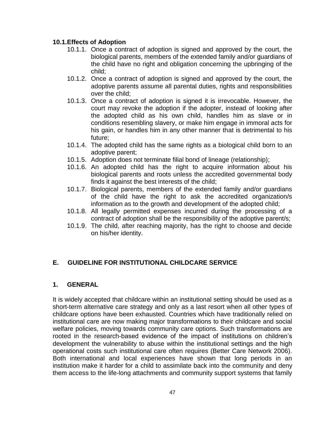### **10.1.Effects of Adoption**

- 10.1.1. Once a contract of adoption is signed and approved by the court, the biological parents, members of the extended family and/or guardians of the child have no right and obligation concerning the upbringing of the child;
- 10.1.2. Once a contract of adoption is signed and approved by the court, the adoptive parents assume all parental duties, rights and responsibilities over the child;
- 10.1.3. Once a contract of adoption is signed it is irrevocable. However, the court may revoke the adoption if the adopter, instead of looking after the adopted child as his own child, handles him as slave or in conditions resembling slavery, or make him engage in immoral acts for his gain, or handles him in any other manner that is detrimental to his future;
- 10.1.4. The adopted child has the same rights as a biological child born to an adoptive parent;
- 10.1.5. Adoption does not terminate filial bond of lineage (relationship);
- 10.1.6. An adopted child has the right to acquire information about his biological parents and roots unless the accredited governmental body finds it against the best interests of the child;
- 10.1.7. Biological parents, members of the extended family and/or guardians of the child have the right to ask the accredited organization/s information as to the growth and development of the adopted child;
- 10.1.8. All legally permitted expenses incurred during the processing of a contract of adoption shall be the responsibility of the adoptive parent/s;
- 10.1.9. The child, after reaching majority, has the right to choose and decide on his/her identity.

# **E. GUIDELINE FOR INSTITUTIONAL CHILDCARE SERVICE**

#### **1. GENERAL**

It is widely accepted that childcare within an institutional setting should be used as a short-term alternative care strategy and only as a last resort when all other types of childcare options have been exhausted. Countries which have traditionally relied on institutional care are now making major transformations to their childcare and social welfare policies, moving towards community care options. Such transformations are rooted in the research-based evidence of the impact of institutions on children"s development the vulnerability to abuse within the institutional settings and the high operational costs such institutional care often requires (Better Care Network 2006). Both international and local experiences have shown that long periods in an institution make it harder for a child to assimilate back into the community and deny them access to the life-long attachments and community support systems that family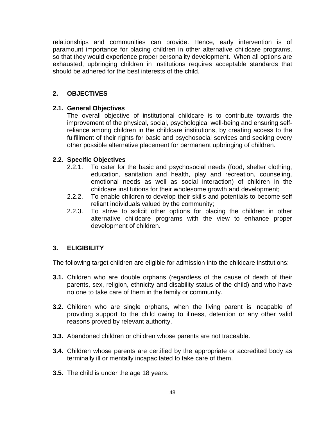relationships and communities can provide. Hence, early intervention is of paramount importance for placing children in other alternative childcare programs, so that they would experience proper personality development. When all options are exhausted, upbringing children in institutions requires acceptable standards that should be adhered for the best interests of the child.

## **2. OBJECTIVES**

#### **2.1. General Objectives**

The overall objective of institutional childcare is to contribute towards the improvement of the physical, social, psychological well-being and ensuring selfreliance among children in the childcare institutions, by creating access to the fulfillment of their rights for basic and psychosocial services and seeking every other possible alternative placement for permanent upbringing of children.

#### **2.2. Specific Objectives**

- 2.2.1. To cater for the basic and psychosocial needs (food, shelter clothing, education, sanitation and health, play and recreation, counseling, emotional needs as well as social interaction) of children in the childcare institutions for their wholesome growth and development;
- 2.2.2. To enable children to develop their skills and potentials to become self reliant individuals valued by the community;
- 2.2.3. To strive to solicit other options for placing the children in other alternative childcare programs with the view to enhance proper development of children.

#### **3. ELIGIBILITY**

The following target children are eligible for admission into the childcare institutions:

- **3.1.** Children who are double orphans (regardless of the cause of death of their parents, sex, religion, ethnicity and disability status of the child) and who have no one to take care of them in the family or community.
- **3.2.** Children who are single orphans, when the living parent is incapable of providing support to the child owing to illness, detention or any other valid reasons proved by relevant authority.
- **3.3.** Abandoned children or children whose parents are not traceable.
- **3.4.** Children whose parents are certified by the appropriate or accredited body as terminally ill or mentally incapacitated to take care of them.
- **3.5.** The child is under the age 18 years.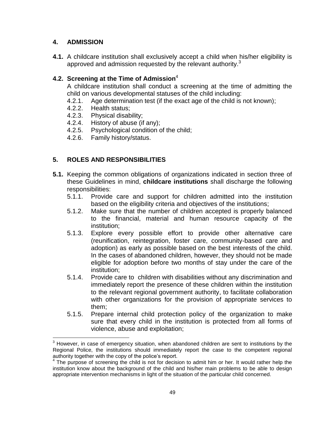# **4. ADMISSION**

 $\overline{a}$ 

**4.1.** A childcare institution shall exclusively accept a child when his/her eligibility is approved and admission requested by the relevant authority.<sup>3</sup>

# **4.2. Screening at the Time of Admission**<sup>4</sup>

A childcare institution shall conduct a screening at the time of admitting the child on various developmental statuses of the child including:

- 4.2.1. Age determination test (if the exact age of the child is not known);
- 4.2.2. Health status;
- 4.2.3. Physical disability;
- 4.2.4. History of abuse (if any);
- 4.2.5. Psychological condition of the child;
- 4.2.6. Family history/status.

# **5. ROLES AND RESPONSIBILITIES**

- **5.1.** Keeping the common obligations of organizations indicated in section three of these Guidelines in mind, **childcare institutions** shall discharge the following responsibilities:
	- 5.1.1. Provide care and support for children admitted into the institution based on the eligibility criteria and objectives of the institutions;
	- 5.1.2. Make sure that the number of children accepted is properly balanced to the financial, material and human resource capacity of the institution;
	- 5.1.3. Explore every possible effort to provide other alternative care (reunification, reintegration, foster care, community-based care and adoption) as early as possible based on the best interests of the child. In the cases of abandoned children, however, they should not be made eligible for adoption before two months of stay under the care of the institution;
	- 5.1.4. Provide care to children with disabilities without any discrimination and immediately report the presence of these children within the institution to the relevant regional government authority, to facilitate collaboration with other organizations for the provision of appropriate services to them;
	- 5.1.5. Prepare internal child protection policy of the organization to make sure that every child in the institution is protected from all forms of violence, abuse and exploitation;

 $3$  However, in case of emergency situation, when abandoned children are sent to institutions by the Regional Police, the institutions should immediately report the case to the competent regional authority together with the copy of the police's report.

<sup>&</sup>lt;sup>4</sup> The purpose of screening the child is not for decision to admit him or her. It would rather help the institution know about the background of the child and his/her main problems to be able to design appropriate intervention mechanisms in light of the situation of the particular child concerned.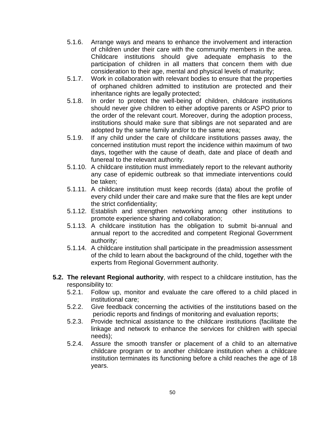- 5.1.6. Arrange ways and means to enhance the involvement and interaction of children under their care with the community members in the area. Childcare institutions should give adequate emphasis to the participation of children in all matters that concern them with due consideration to their age, mental and physical levels of maturity;
- 5.1.7. Work in collaboration with relevant bodies to ensure that the properties of orphaned children admitted to institution are protected and their inheritance rights are legally protected;
- 5.1.8. In order to protect the well-being of children, childcare institutions should never give children to either adoptive parents or ASPO prior to the order of the relevant court. Moreover, during the adoption process, institutions should make sure that siblings are not separated and are adopted by the same family and/or to the same area;
- 5.1.9. If any child under the care of childcare institutions passes away, the concerned institution must report the incidence within maximum of two days, together with the cause of death, date and place of death and funereal to the relevant authority.
- 5.1.10. A childcare institution must immediately report to the relevant authority any case of epidemic outbreak so that immediate interventions could be taken;
- 5.1.11. A childcare institution must keep records (data) about the profile of every child under their care and make sure that the files are kept under the strict confidentiality;
- 5.1.12. Establish and strengthen networking among other institutions to promote experience sharing and collaboration;
- 5.1.13. A childcare institution has the obligation to submit bi-annual and annual report to the accredited and competent Regional Government authority;
- 5.1.14. A childcare institution shall participate in the preadmission assessment of the child to learn about the background of the child, together with the experts from Regional Government authority.
- **5.2. The relevant Regional authority**, with respect to a childcare institution, has the responsibility to:
	- 5.2.1. Follow up, monitor and evaluate the care offered to a child placed in institutional care;
	- 5.2.2. Give feedback concerning the activities of the institutions based on the periodic reports and findings of monitoring and evaluation reports;
	- 5.2.3. Provide technical assistance to the childcare institutions (facilitate the linkage and network to enhance the services for children with special needs);
	- 5.2.4. Assure the smooth transfer or placement of a child to an alternative childcare program or to another childcare institution when a childcare institution terminates its functioning before a child reaches the age of 18 years.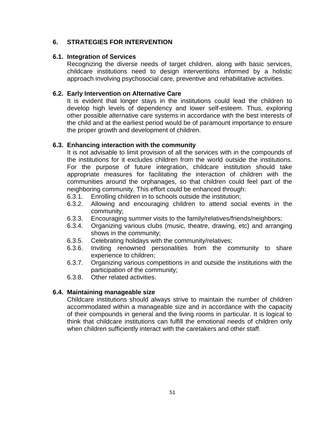# **6. STRATEGIES FOR INTERVENTION**

#### **6.1. Integration of Services**

Recognizing the diverse needs of target children, along with basic services, childcare institutions need to design interventions informed by a holistic approach involving psychosocial care, preventive and rehabilitative activities.

#### **6.2. Early Intervention on Alternative Care**

It is evident that longer stays in the institutions could lead the children to develop high levels of dependency and lower self-esteem. Thus, exploring other possible alternative care systems in accordance with the best interests of the child and at the earliest period would be of paramount importance to ensure the proper growth and development of children.

### **6.3. Enhancing interaction with the community**

It is not advisable to limit provision of all the services with in the compounds of the institutions for it excludes children from the world outside the institutions. For the purpose of future integration, childcare institution should take appropriate measures for facilitating the interaction of children with the communities around the orphanages, so that children could feel part of the neighboring community. This effort could be enhanced through:

- 6.3.1. Enrolling children in to schools outside the institution;
- 6.3.2. Allowing and encouraging children to attend social events in the community;
- 6.3.3. Encouraging summer visits to the family/relatives/friends/neighbors;
- 6.3.4. Organizing various clubs (music, theatre, drawing, etc) and arranging shows in the community;
- 6.3.5. Celebrating holidays with the community/relatives;
- 6.3.6. Inviting renowned personalities from the community to share experience to children;
- 6.3.7. Organizing various competitions in and outside the institutions with the participation of the community;
- 6.3.8. Other related activities.

#### **6.4. Maintaining manageable size**

Childcare institutions should always strive to maintain the number of children accommodated within a manageable size and in accordance with the capacity of their compounds in general and the living rooms in particular. It is logical to think that childcare institutions can fulfill the emotional needs of children only when children sufficiently interact with the caretakers and other staff.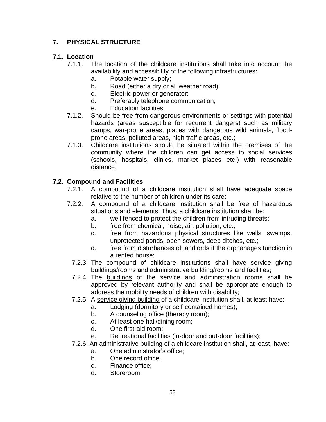# **7. PHYSICAL STRUCTURE**

# **7.1. Location**

- 7.1.1. The location of the childcare institutions shall take into account the availability and accessibility of the following infrastructures:
	- a. Potable water supply;
	- b. Road (either a dry or all weather road);
	- c. Electric power or generator;
	- d. Preferably telephone communication;
	- e. Education facilities;
- 7.1.2. Should be free from dangerous environments or settings with potential hazards (areas susceptible for recurrent dangers) such as military camps, war-prone areas, places with dangerous wild animals, floodprone areas, polluted areas, high traffic areas, etc.;
- 7.1.3. Childcare institutions should be situated within the premises of the community where the children can get access to social services (schools, hospitals, clinics, market places etc.) with reasonable distance.

# **7.2. Compound and Facilities**

- 7.2.1. A compound of a childcare institution shall have adequate space relative to the number of children under its care;
- 7.2.2. A compound of a childcare institution shall be free of hazardous situations and elements. Thus, a childcare institution shall be:
	- a. well fenced to protect the children from intruding threats;
	- b. free from chemical, noise, air, pollution, etc.;
	- c. free from hazardous physical structures like wells, swamps, unprotected ponds, open sewers, deep ditches, etc.;
	- d. free from disturbances of landlords if the orphanages function in a rented house;
	- 7.2.3. The compound of childcare institutions shall have service giving buildings/rooms and administrative building/rooms and facilities;
	- 7.2.4. The buildings of the service and administration rooms shall be approved by relevant authority and shall be appropriate enough to address the mobility needs of children with disability;
	- 7.2.5. A service giving building of a childcare institution shall, at least have:
		- a. Lodging (dormitory or self-contained homes);
		- b. A counseling office (therapy room);
		- c. At least one hall/dining room;
		- d. One first-aid room;
		- e. Recreational facilities (in-door and out-door facilities);
	- 7.2.6. An administrative building of a childcare institution shall, at least, have:
		- a. One administrator"s office;
		- b. One record office;
		- c. Finance office;
		- d. Storeroom;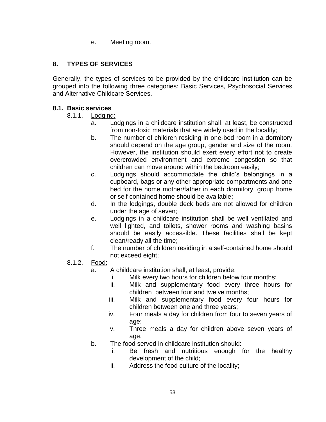e. Meeting room.

# **8. TYPES OF SERVICES**

Generally, the types of services to be provided by the childcare institution can be grouped into the following three categories: Basic Services, Psychosocial Services and Alternative Childcare Services.

#### **8.1. Basic services**

- 8.1.1. Lodging:
	- a. Lodgings in a childcare institution shall, at least, be constructed from non-toxic materials that are widely used in the locality;
	- b. The number of children residing in one-bed room in a dormitory should depend on the age group, gender and size of the room. However, the institution should exert every effort not to create overcrowded environment and extreme congestion so that children can move around within the bedroom easily;
	- c. Lodgings should accommodate the child"s belongings in a cupboard, bags or any other appropriate compartments and one bed for the home mother/father in each dormitory, group home or self contained home should be available;
	- d. In the lodgings, double deck beds are not allowed for children under the age of seven;
	- e. Lodgings in a childcare institution shall be well ventilated and well lighted, and toilets, shower rooms and washing basins should be easily accessible. These facilities shall be kept clean/ready all the time;
	- f. The number of children residing in a self-contained home should not exceed eight;
- 8.1.2. Food:
	- a. A childcare institution shall, at least, provide:
		- i. Milk every two hours for children below four months;
		- ii. Milk and supplementary food every three hours for children between four and twelve months;
		- iii. Milk and supplementary food every four hours for children between one and three years;
		- iv. Four meals a day for children from four to seven years of age;
		- v. Three meals a day for children above seven years of age.
	- b. The food served in childcare institution should:
		- i. Be fresh and nutritious enough for the healthy development of the child;
		- ii. Address the food culture of the locality;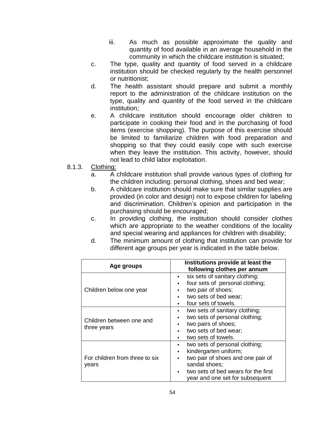- iii. As much as possible approximate the quality and quantity of food available in an average household in the community in which the childcare institution is situated;
- c. The type, quality and quantity of food served in a childcare institution should be checked regularly by the health personnel or nutritionist;
- d. The health assistant should prepare and submit a monthly report to the administration of the childcare institution on the type, quality and quantity of the food served in the childcare institution;
- e. A childcare institution should encourage older children to participate in cooking their food and in the purchasing of food items (exercise shopping). The purpose of this exercise should be limited to familiarize children with food preparation and shopping so that they could easily cope with such exercise when they leave the institution. This activity, however, should not lead to child labor exploitation.
- 8.1.3. Clothing:
	- a. A childcare institution shall provide various types of clothing for the children including: personal clothing, shoes and bed wear;
	- b. A childcare institution should make sure that similar supplies are provided (in color and design) not to expose children for labeling and discrimination. Children"s opinion and participation in the purchasing should be encouraged;
	- c. In providing clothing, the institution should consider clothes which are appropriate to the weather conditions of the locality and special wearing and appliances for children with disability;
	- d. The minimum amount of clothing that institution can provide for different age groups per year is indicated in the table below.

| Age groups                              | Institutions provide at least the       |
|-----------------------------------------|-----------------------------------------|
|                                         | following clothes per annum             |
| Children below one year                 | six sets of sanitary clothing;<br>٠     |
|                                         | four sets of personal clothing;<br>٠    |
|                                         | two pair of shoes;                      |
|                                         | two sets of bed wear;                   |
|                                         | four sets of towels.                    |
| Children between one and<br>three years | two sets of sanitary clothing;<br>٠     |
|                                         | two sets of personal clothing;          |
|                                         | two pairs of shoes;<br>٠                |
|                                         | two sets of bed wear;<br>$\blacksquare$ |
|                                         | two sets of towels.                     |
| For children from three to six<br>years | two sets of personal clothing;<br>٠     |
|                                         | kindergarten uniform;<br>٠              |
|                                         | two pair of shoes and one pair of<br>٠  |
|                                         | sandal shoes;                           |
|                                         | two sets of bed wears for the first     |
|                                         | year and one set for subsequent         |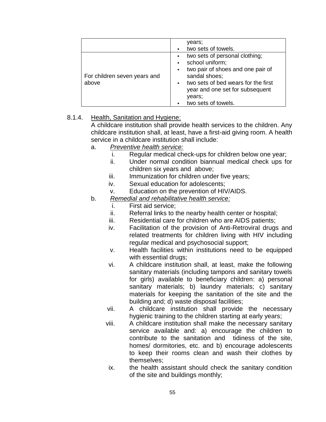|                                       | years;<br>two sets of towels.                                                                                                                                                                                                              |
|---------------------------------------|--------------------------------------------------------------------------------------------------------------------------------------------------------------------------------------------------------------------------------------------|
| For children seven years and<br>above | two sets of personal clothing;<br>٠.<br>school uniform;<br>two pair of shoes and one pair of<br>$\blacksquare$<br>sandal shoes;<br>two sets of bed wears for the first<br>year and one set for subsequent<br>years;<br>two sets of towels. |

#### 8.1.4. Health, Sanitation and Hygiene:

A childcare institution shall provide health services to the children. Any childcare institution shall, at least, have a first-aid giving room. A health service in a childcare institution shall include:

- a. *Preventive health service:* 
	- i. Regular medical check-ups for children below one year;
	- ii. Under normal condition biannual medical check ups for children six years and above;
	- iii. Immunization for children under five years;
	- iv. Sexual education for adolescents;
	- v. Education on the prevention of HIV/AIDS.
- b. *Remedial and rehabilitative health service:*
	- i. First aid service;
	- ii. Referral links to the nearby health center or hospital;
	- iii. Residential care for children who are AIDS patients;
	- iv. Facilitation of the provision of Anti-Retroviral drugs and related treatments for children living with HIV including regular medical and psychosocial support;
	- v. Health facilities within institutions need to be equipped with essential drugs;
	- vi. A childcare institution shall, at least, make the following sanitary materials (including tampons and sanitary towels for girls) available to beneficiary children: a) personal sanitary materials; b) laundry materials; c) sanitary materials for keeping the sanitation of the site and the building and; d) waste disposal facilities;
	- vii. A childcare institution shall provide the necessary hygienic training to the children starting at early years;
	- viii. A childcare institution shall make the necessary sanitary service available and: a) encourage the children to contribute to the sanitation and tidiness of the site, homes/ dormitories, etc. and b) encourage adolescents to keep their rooms clean and wash their clothes by themselves;
	- ix. the health assistant should check the sanitary condition of the site and buildings monthly;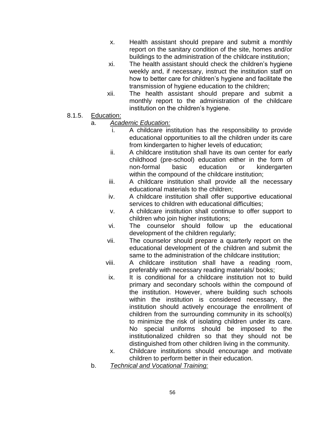- x. Health assistant should prepare and submit a monthly report on the sanitary condition of the site, homes and/or buildings to the administration of the childcare institution;
- xi. The health assistant should check the children"s hygiene weekly and, if necessary, instruct the institution staff on how to better care for children"s hygiene and facilitate the transmission of hygiene education to the children;
- xii. The health assistant should prepare and submit a monthly report to the administration of the childcare institution on the children's hygiene.
- 8.1.5. Education:

### a. *Academic Education:*

- i. A childcare institution has the responsibility to provide educational opportunities to all the children under its care from kindergarten to higher levels of education;
- ii. A childcare institution shall have its own center for early childhood (pre-school) education either in the form of non-formal basic education or kindergarten within the compound of the childcare institution;
- iii. A childcare institution shall provide all the necessary educational materials to the children;
- iv. A childcare institution shall offer supportive educational services to children with educational difficulties;
- v. A childcare institution shall continue to offer support to children who join higher institutions;
- vi. The counselor should follow up the educational development of the children regularly;
- vii. The counselor should prepare a quarterly report on the educational development of the children and submit the same to the administration of the childcare institution;
- viii. A childcare institution shall have a reading room, preferably with necessary reading materials/ books;
- ix. It is conditional for a childcare institution not to build primary and secondary schools within the compound of the institution. However, where building such schools within the institution is considered necessary, the institution should actively encourage the enrollment of children from the surrounding community in its school(s) to minimize the risk of isolating children under its care. No special uniforms should be imposed to the institutionalized children so that they should not be distinguished from other children living in the community.
- x. Childcare institutions should encourage and motivate children to perform better in their education.
- b. *Technical and Vocational Training:*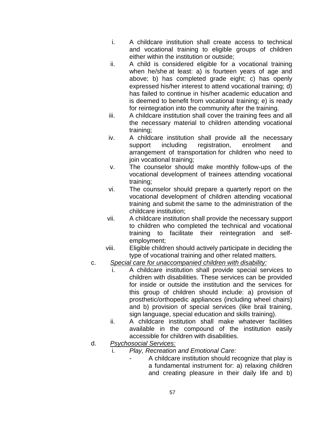- i. A childcare institution shall create access to technical and vocational training to eligible groups of children either within the institution or outside;
- ii. A child is considered eligible for a vocational training when he/she at least: a) is fourteen years of age and above; b) has completed grade eight; c) has openly expressed his/her interest to attend vocational training; d) has failed to continue in his/her academic education and is deemed to benefit from vocational training; e) is ready for reintegration into the community after the training.
- iii. A childcare institution shall cover the training fees and all the necessary material to children attending vocational training;
- iv. A childcare institution shall provide all the necessary support including registration, enrolment and arrangement of transportation for children who need to join vocational training;
- v. The counselor should make monthly follow-ups of the vocational development of trainees attending vocational training;
- vi. The counselor should prepare a quarterly report on the vocational development of children attending vocational training and submit the same to the administration of the childcare institution;
- vii. A childcare institution shall provide the necessary support to children who completed the technical and vocational training to facilitate their reintegration and selfemployment;
- viii. Eligible children should actively participate in deciding the type of vocational training and other related matters.
- c. *Special care for unaccompanied children with disability:*
	- i. A childcare institution shall provide special services to children with disabilities. These services can be provided for inside or outside the institution and the services for this group of children should include: a) provision of prosthetic/orthopedic appliances (including wheel chairs) and b) provision of special services (like brail training, sign language, special education and skills training).
	- ii. A childcare institution shall make whatever facilities available in the compound of the institution easily accessible for children with disabilities.
- d. *Psychosocial Services:*
	- i. *Play, Recreation and Emotional Care:*
		- A childcare institution should recognize that play is a fundamental instrument for: a) relaxing children and creating pleasure in their daily life and b)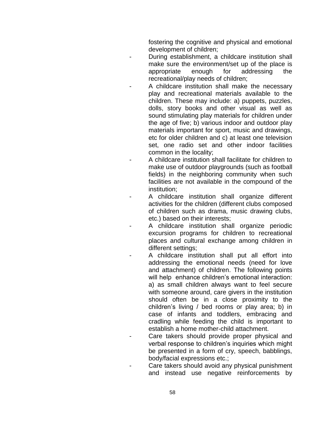fostering the cognitive and physical and emotional development of children;

- During establishment, a childcare institution shall make sure the environment/set up of the place is appropriate enough for addressing the recreational/play needs of children;
	- A childcare institution shall make the necessary play and recreational materials available to the children. These may include: a) puppets, puzzles, dolls, story books and other visual as well as sound stimulating play materials for children under the age of five; b) various indoor and outdoor play materials important for sport, music and drawings, etc for older children and c) at least one television set, one radio set and other indoor facilities common in the locality;
- A childcare institution shall facilitate for children to make use of outdoor playgrounds (such as football fields) in the neighboring community when such facilities are not available in the compound of the institution;
- A childcare institution shall organize different activities for the children (different clubs composed of children such as drama, music drawing clubs, etc.) based on their interests;
- A childcare institution shall organize periodic excursion programs for children to recreational places and cultural exchange among children in different settings;
- A childcare institution shall put all effort into addressing the emotional needs (need for love and attachment) of children. The following points will help enhance children's emotional interaction: a) as small children always want to feel secure with someone around, care givers in the institution should often be in a close proximity to the children"s living / bed rooms or play area; b) in case of infants and toddlers, embracing and cradling while feeding the child is important to establish a home mother-child attachment.
- Care takers should provide proper physical and verbal response to children"s inquiries which might be presented in a form of cry, speech, babblings, body/facial expressions etc.;
- Care takers should avoid any physical punishment and instead use negative reinforcements by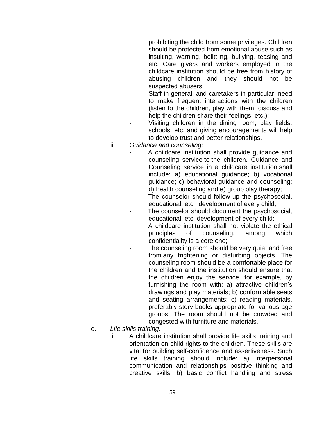prohibiting the child from some privileges. Children should be protected from emotional abuse such as insulting, warning, belittling, bullying, teasing and etc. Care givers and workers employed in the childcare institution should be free from history of abusing children and they should not be suspected abusers;

- Staff in general, and caretakers in particular, need to make frequent interactions with the children (listen to the children, play with them, discuss and help the children share their feelings, etc.);
- Visiting children in the dining room, play fields, schools, etc. and giving encouragements will help to develop trust and better relationships.
- ii. *Guidance and counseling:*
	- A childcare institution shall provide guidance and counseling service to the children. Guidance and Counseling service in a childcare institution shall include: a) educational guidance; b) vocational guidance; c) behavioral guidance and counseling; d) health counseling and e) group play therapy;
	- The counselor should follow-up the psychosocial, educational, etc., development of every child;
	- The counselor should document the psychosocial, educational, etc. development of every child;
	- A childcare institution shall not violate the ethical principles of counseling, among which confidentiality is a core one;
	- The counseling room should be very quiet and free from any frightening or disturbing objects. The counseling room should be a comfortable place for the children and the institution should ensure that the children enjoy the service, for example, by furnishing the room with: a) attractive children's drawings and play materials; b) conformable seats and seating arrangements; c) reading materials, preferably story books appropriate for various age groups. The room should not be crowded and congested with furniture and materials.
- e. *Life skills training:*
	- A childcare institution shall provide life skills training and orientation on child rights to the children. These skills are vital for building self-confidence and assertiveness. Such life skills training should include: a) interpersonal communication and relationships positive thinking and creative skills; b) basic conflict handling and stress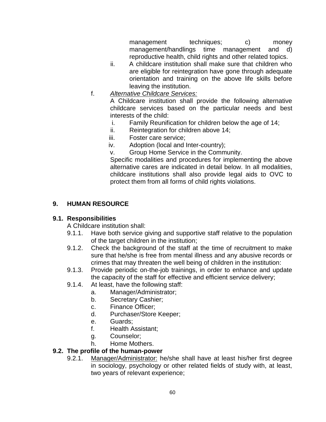management techniques; c) money management/handlings time management and d) reproductive health, child rights and other related topics.

- ii. A childcare institution shall make sure that children who are eligible for reintegration have gone through adequate orientation and training on the above life skills before leaving the institution.
- f. *Alternative Childcare Services:*

A Childcare institution shall provide the following alternative childcare services based on the particular needs and best interests of the child:

- i. Family Reunification for children below the age of 14;
- ii. Reintegration for children above 14;
- iii. Foster care service;
- iv. Adoption (local and Inter-country);
- v. Group Home Service in the Community.

Specific modalities and procedures for implementing the above alternative cares are indicated in detail below. In all modalities, childcare institutions shall also provide legal aids to OVC to protect them from all forms of child rights violations.

# **9. HUMAN RESOURCE**

#### **9.1. Responsibilities**

A Childcare institution shall:

- 9.1.1. Have both service giving and supportive staff relative to the population of the target children in the institution;
- 9.1.2. Check the background of the staff at the time of recruitment to make sure that he/she is free from mental illness and any abusive records or crimes that may threaten the well being of children in the institution:
- 9.1.3. Provide periodic on-the-job trainings, in order to enhance and update the capacity of the staff for effective and efficient service delivery;
- 9.1.4. At least, have the following staff:
	- a. Manager/Administrator;
	- b. Secretary Cashier;
	- c. Finance Officer;
	- d. Purchaser/Store Keeper;
	- e. Guards;
	- f. Health Assistant;
	- g. Counselor;
	- h. Home Mothers.

# **9.2. The profile of the human-power**

9.2.1. Manager/Administrator: he/she shall have at least his/her first degree in sociology, psychology or other related fields of study with, at least, two years of relevant experience;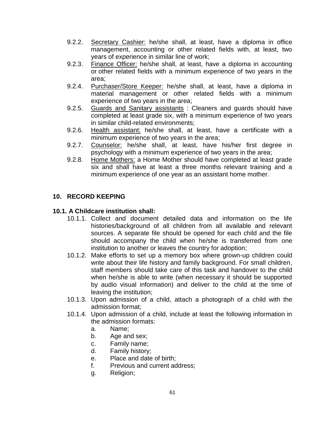- 9.2.2. Secretary Cashier: he/she shall, at least, have a diploma in office management, accounting or other related fields with, at least, two years of experience in similar line of work;
- 9.2.3. Finance Officer: he/she shall, at least, have a diploma in accounting or other related fields with a minimum experience of two years in the area;
- 9.2.4. Purchaser/Store Keeper: he/she shall, at least, have a diploma in material management or other related fields with a minimum experience of two years in the area;
- 9.2.5. Guards and Sanitary assistants : Cleaners and guards should have completed at least grade six, with a minimum experience of two years in similar child-related environments;
- 9.2.6. Health assistant: he/she shall, at least, have a certificate with a minimum experience of two years in the area;
- 9.2.7. Counselor: he/she shall, at least, have his/her first degree in psychology with a minimum experience of two years in the area;
- 9.2.8. Home Mothers: a Home Mother should have completed at least grade six and shall have at least a three months relevant training and a minimum experience of one year as an assistant home mother.

# **10. RECORD KEEPING**

# **10.1. A Childcare institution shall:**

- 10.1.1. Collect and document detailed data and information on the life histories/background of all children from all available and relevant sources. A separate file should be opened for each child and the file should accompany the child when he/she is transferred from one institution to another or leaves the country for adoption;
- 10.1.2. Make efforts to set up a memory box where grown-up children could write about their life history and family background. For small children, staff members should take care of this task and handover to the child when he/she is able to write (when necessary it should be supported by audio visual information) and deliver to the child at the time of leaving the institution;
- 10.1.3. Upon admission of a child, attach a photograph of a child with the admission format;
- 10.1.4. Upon admission of a child, include at least the following information in the admission formats:
	- a. Name;
	- b. Age and sex;
	- c. Family name;
	- d. Family history;
	- e. Place and date of birth;
	- f. Previous and current address;
	- g. Religion;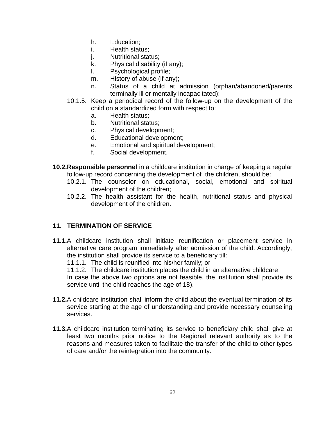- h. Education;
- i. Health status;
- j. Nutritional status;
- k. Physical disability (if any);
- l. Psychological profile;
- m. History of abuse (if any);
- n. Status of a child at admission (orphan/abandoned/parents terminally ill or mentally incapacitated);
- 10.1.5. Keep a periodical record of the follow-up on the development of the child on a standardized form with respect to:
	- a. Health status;
	- b. Nutritional status;
	- c. Physical development;
	- d. Educational development;
	- e. Emotional and spiritual development;
	- f. Social development.
- **10.2.Responsible personnel** in a childcare institution in charge of keeping a regular follow-up record concerning the development of the children, should be:
	- 10.2.1. The counselor on educational, social, emotional and spiritual development of the children;
	- 10.2.2. The health assistant for the health, nutritional status and physical development of the children.

# **11. TERMINATION OF SERVICE**

- **11.1.**A childcare institution shall initiate reunification or placement service in alternative care program immediately after admission of the child. Accordingly, the institution shall provide its service to a beneficiary till:
	- 11.1.1. The child is reunified into his/her family; or
	- 11.1.2. The childcare institution places the child in an alternative childcare;

In case the above two options are not feasible, the institution shall provide its service until the child reaches the age of 18).

- **11.2.**A childcare institution shall inform the child about the eventual termination of its service starting at the age of understanding and provide necessary counseling services.
- **11.3.**A childcare institution terminating its service to beneficiary child shall give at least two months prior notice to the Regional relevant authority as to the reasons and measures taken to facilitate the transfer of the child to other types of care and/or the reintegration into the community.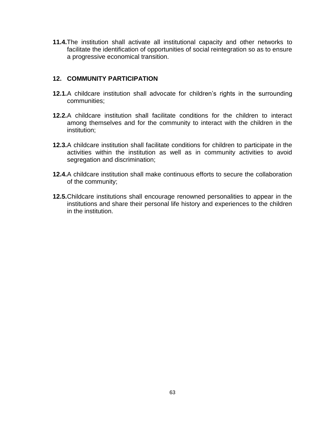**11.4.**The institution shall activate all institutional capacity and other networks to facilitate the identification of opportunities of social reintegration so as to ensure a progressive economical transition.

#### **12. COMMUNITY PARTICIPATION**

- **12.1.**A childcare institution shall advocate for children"s rights in the surrounding communities;
- **12.2.**A childcare institution shall facilitate conditions for the children to interact among themselves and for the community to interact with the children in the institution;
- **12.3.**A childcare institution shall facilitate conditions for children to participate in the activities within the institution as well as in community activities to avoid segregation and discrimination;
- **12.4.**A childcare institution shall make continuous efforts to secure the collaboration of the community;
- **12.5.**Childcare institutions shall encourage renowned personalities to appear in the institutions and share their personal life history and experiences to the children in the institution.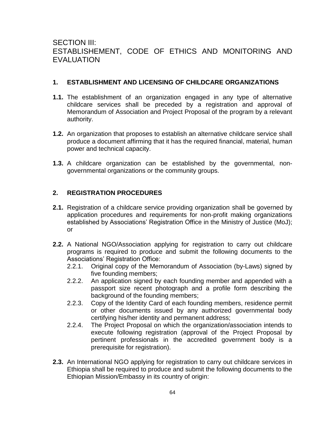# SECTION III: ESTABLISHEMENT, CODE OF ETHICS AND MONITORING AND EVALUATION

#### **1. ESTABLISHMENT AND LICENSING OF CHILDCARE ORGANIZATIONS**

- **1.1.** The establishment of an organization engaged in any type of alternative childcare services shall be preceded by a registration and approval of Memorandum of Association and Project Proposal of the program by a relevant authority.
- **1.2.** An organization that proposes to establish an alternative childcare service shall produce a document affirming that it has the required financial, material, human power and technical capacity.
- **1.3.** A childcare organization can be established by the governmental, nongovernmental organizations or the community groups.

# **2. REGISTRATION PROCEDURES**

- **2.1.** Registration of a childcare service providing organization shall be governed by application procedures and requirements for non-profit making organizations established by Associations' Registration Office in the Ministry of Justice (MoJ); or
- **2.2.** A National NGO/Association applying for registration to carry out childcare programs is required to produce and submit the following documents to the Associations" Registration Office:
	- 2.2.1. Original copy of the Memorandum of Association (by-Laws) signed by five founding members;
	- 2.2.2. An application signed by each founding member and appended with a passport size recent photograph and a profile form describing the background of the founding members;
	- 2.2.3. Copy of the Identity Card of each founding members, residence permit or other documents issued by any authorized governmental body certifying his/her identity and permanent address;
	- 2.2.4. The Project Proposal on which the organization/association intends to execute following registration (approval of the Project Proposal by pertinent professionals in the accredited government body is a prerequisite for registration).
- **2.3.** An International NGO applying for registration to carry out childcare services in Ethiopia shall be required to produce and submit the following documents to the Ethiopian Mission/Embassy in its country of origin: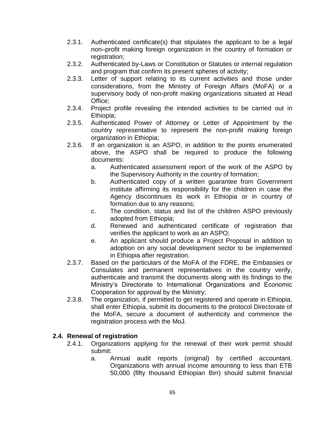- 2.3.1. Authenticated certificate(s) that stipulates the applicant to be a legal non–profit making foreign organization in the country of formation or registration;
- 2.3.2. Authenticated by-Laws or Constitution or Statutes or internal regulation and program that confirm its present spheres of activity;
- 2.3.3. Letter of support relating to its current activities and those under considerations, from the Ministry of Foreign Affairs (MoFA) or a supervisory body of non-profit making organizations situated at Head Office;
- 2.3.4. Project profile revealing the intended activities to be carried out in Ethiopia;
- 2.3.5. Authenticated Power of Attorney or Letter of Appointment by the country representative to represent the non-profit making foreign organization in Ethiopia;
- 2.3.6. If an organization is an ASPO, in addition to the points enumerated above, the ASPO shall be required to produce the following documents:
	- a. Authenticated assessment report of the work of the ASPO by the Supervisory Authority in the country of formation;
	- b. Authenticated copy of a written guarantee from Government institute affirming its responsibility for the children in case the Agency discontinues its work in Ethiopia or in country of formation due to any reasons;
	- c. The condition, status and list of the children ASPO previously adopted from Ethiopia;
	- d. Renewed and authenticated certificate of registration that verifies the applicant to work as an ASPO;
	- e. An applicant should produce a Project Proposal in addition to adoption on any social development sector to be implemented in Ethiopia after registration.
- 2.3.7. Based on the particulars of the MoFA of the FDRE, the Embassies or Consulates and permanent representatives in the country verify, authenticate and transmit the documents along with its findings to the Ministry"s Directorate to International Organizations and Economic Cooperation for approval by the Ministry;
- 2.3.8. The organization, if permitted to get registered and operate in Ethiopia, shall enter Ethiopia, submit its documents to the protocol Directorate of the MoFA, secure a document of authenticity and commence the registration process with the MoJ.

# **2.4. Renewal of registration**

- 2.4.1. Organizations applying for the renewal of their work permit should submit:
	- a. Annual audit reports (original) by certified accountant. Organizations with annual income amounting to less than ETB 50,000 (fifty thousand Ethiopian Birr) should submit financial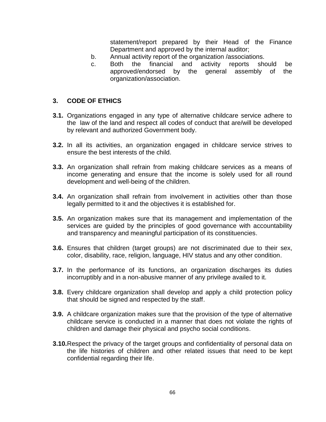statement/report prepared by their Head of the Finance Department and approved by the internal auditor;

- b. Annual activity report of the organization /associations.
- c. Both the financial and activity reports should be approved/endorsed by the general assembly of the organization/association.

### **3. CODE OF ETHICS**

- **3.1.** Organizations engaged in any type of alternative childcare service adhere to the law of the land and respect all codes of conduct that are/will be developed by relevant and authorized Government body.
- **3.2.** In all its activities, an organization engaged in childcare service strives to ensure the best interests of the child.
- **3.3.** An organization shall refrain from making childcare services as a means of income generating and ensure that the income is solely used for all round development and well-being of the children.
- **3.4.** An organization shall refrain from involvement in activities other than those legally permitted to it and the objectives it is established for.
- **3.5.** An organization makes sure that its management and implementation of the services are quided by the principles of good governance with accountability and transparency and meaningful participation of its constituencies.
- **3.6.** Ensures that children (target groups) are not discriminated due to their sex, color, disability, race, religion, language, HIV status and any other condition.
- **3.7.** In the performance of its functions, an organization discharges its duties incorruptibly and in a non-abusive manner of any privilege availed to it.
- **3.8.** Every childcare organization shall develop and apply a child protection policy that should be signed and respected by the staff.
- **3.9.** A childcare organization makes sure that the provision of the type of alternative childcare service is conducted in a manner that does not violate the rights of children and damage their physical and psycho social conditions.
- **3.10.**Respect the privacy of the target groups and confidentiality of personal data on the life histories of children and other related issues that need to be kept confidential regarding their life.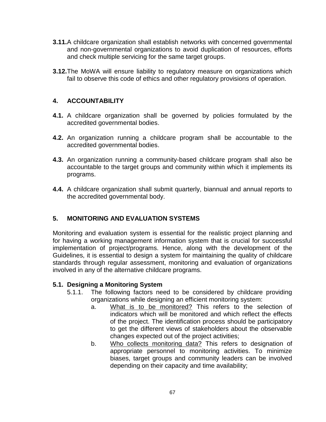- **3.11.**A childcare organization shall establish networks with concerned governmental and non-governmental organizations to avoid duplication of resources, efforts and check multiple servicing for the same target groups.
- **3.12.**The MoWA will ensure liability to regulatory measure on organizations which fail to observe this code of ethics and other regulatory provisions of operation.

## **4. ACCOUNTABILITY**

- **4.1.** A childcare organization shall be governed by policies formulated by the accredited governmental bodies.
- **4.2.** An organization running a childcare program shall be accountable to the accredited governmental bodies.
- **4.3.** An organization running a community-based childcare program shall also be accountable to the target groups and community within which it implements its programs.
- **4.4.** A childcare organization shall submit quarterly, biannual and annual reports to the accredited governmental body.

# **5. MONITORING AND EVALUATION SYSTEMS**

Monitoring and evaluation system is essential for the realistic project planning and for having a working management information system that is crucial for successful implementation of project/programs. Hence, along with the development of the Guidelines, it is essential to design a system for maintaining the quality of childcare standards through regular assessment, monitoring and evaluation of organizations involved in any of the alternative childcare programs.

### **5.1. Designing a Monitoring System**

- 5.1.1. The following factors need to be considered by childcare providing organizations while designing an efficient monitoring system:
	- a. What is to be monitored? This refers to the selection of indicators which will be monitored and which reflect the effects of the project. The identification process should be participatory to get the different views of stakeholders about the observable changes expected out of the project activities;
	- b. Who collects monitoring data? This refers to designation of appropriate personnel to monitoring activities. To minimize biases, target groups and community leaders can be involved depending on their capacity and time availability;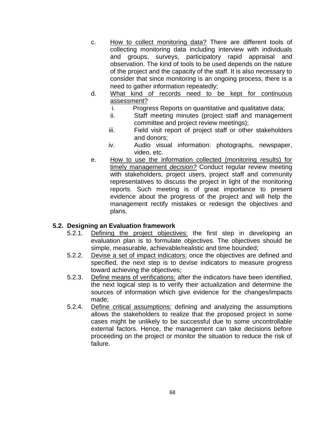- c. How to collect monitoring data? There are different tools of collecting monitoring data including interview with individuals and groups, surveys, participatory rapid appraisal and observation. The kind of tools to be used depends on the nature of the project and the capacity of the staff. It is also necessary to consider that since monitoring is an ongoing process, there is a need to gather information repeatedly;
- d. What kind of records need to be kept for continuous assessment?
	- i. Progress Reports on quantitative and qualitative data;
	- ii. Staff meeting minutes (project staff and management committee and project review meetings);
	- iii. Field visit report of project staff or other stakeholders and donors;
	- iv. Audio visual information: photographs, newspaper, video, etc.
- e. How to use the information collected (monitoring results) for timely management *decision?* Conduct regular review meeting with stakeholders, project users, project staff and community representatives to discuss the project in light of the monitoring reports. Such meeting is of great importance to present evidence about the progress of the project and will help the management rectify mistakes or redesign the objectives and plans.

### **5.2. Designing an Evaluation framework**

- 5.2.1. Defining the project objectives: the first step in developing an evaluation plan is to formulate objectives. The objectives should be simple, measurable, achievable/realistic and time bounded;
- 5.2.2. Devise a set of impact indicators: once the objectives are defined and specified, the next step is to devise indicators to measure progress toward achieving the objectives;
- 5.2.3. Define means of verifications: after the indicators have been identified, the next logical step is to verify their actualization and determine the sources of information which give evidence for the changes/impacts made;
- 5.2.4. Define critical assumptions: defining and analyzing the assumptions allows the stakeholders to realize that the proposed project in some cases might be unlikely to be successful due to some uncontrollable external factors. Hence, the management can take decisions before proceeding on the project or monitor the situation to reduce the risk of failure.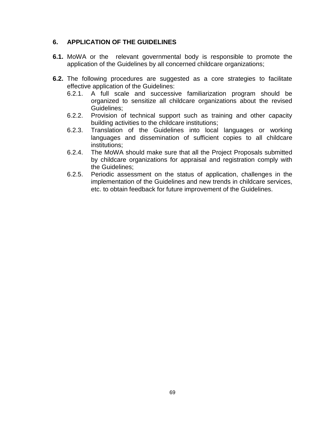#### **6. APPLICATION OF THE GUIDELINES**

- **6.1.** MoWA or the relevant governmental body is responsible to promote the application of the Guidelines by all concerned childcare organizations;
- **6.2.** The following procedures are suggested as a core strategies to facilitate effective application of the Guidelines:
	- 6.2.1. A full scale and successive familiarization program should be organized to sensitize all childcare organizations about the revised Guidelines;
	- 6.2.2. Provision of technical support such as training and other capacity building activities to the childcare institutions;
	- 6.2.3. Translation of the Guidelines into local languages or working languages and dissemination of sufficient copies to all childcare institutions;
	- 6.2.4. The MoWA should make sure that all the Project Proposals submitted by childcare organizations for appraisal and registration comply with the Guidelines;
	- 6.2.5. Periodic assessment on the status of application, challenges in the implementation of the Guidelines and new trends in childcare services, etc. to obtain feedback for future improvement of the Guidelines.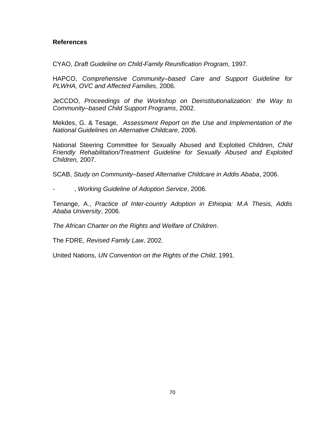#### **References**

CYAO, *Draft Guideline on Child-Family Reunification Program*, 1997.

HAPCO, *Comprehensive Community–based Care and Support Guideline for PLWHA, OVC and Affected Families*, 2006.

JeCCDO, *Proceedings of the Workshop on Deinstitutionalization: the Way to Community–based Child Support Programs*, 2002.

Mekdes, G. & Tesage*, Assessment Report on the Use and Implementation of the National Guidelines on Alternative Childcare*, 2006.

National Steering Committee for Sexually Abused and Exploited Children, *Child Friendly Rehabilitation/Treatment Guideline for Sexually Abused and Exploited Children,* 2007.

SCAB, *Study on Community–based Alternative Childcare in Addis Ababa*, 2006.

- , *Working Guideline of Adoption Service*, 2006.

Tenange, A., *Practice of Inter-country Adoption in Ethiopia: M.A Thesis, Addis Ababa University*, 2006.

*The African Charter on the Rights and Welfare of Children*.

The FDRE, *Revised Family Law*, 2002.

United Nations, *UN Convention on the Rights of the Child*, 1991.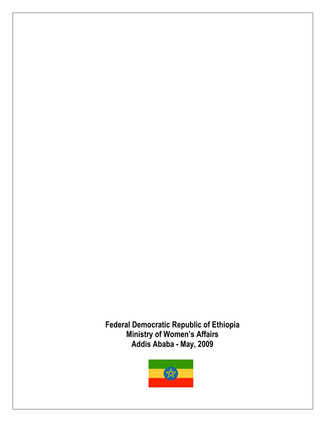**Federal Democratic Republic of Ethiopia Ministry of Women's Affairs Addis Ababa - May, 2009**